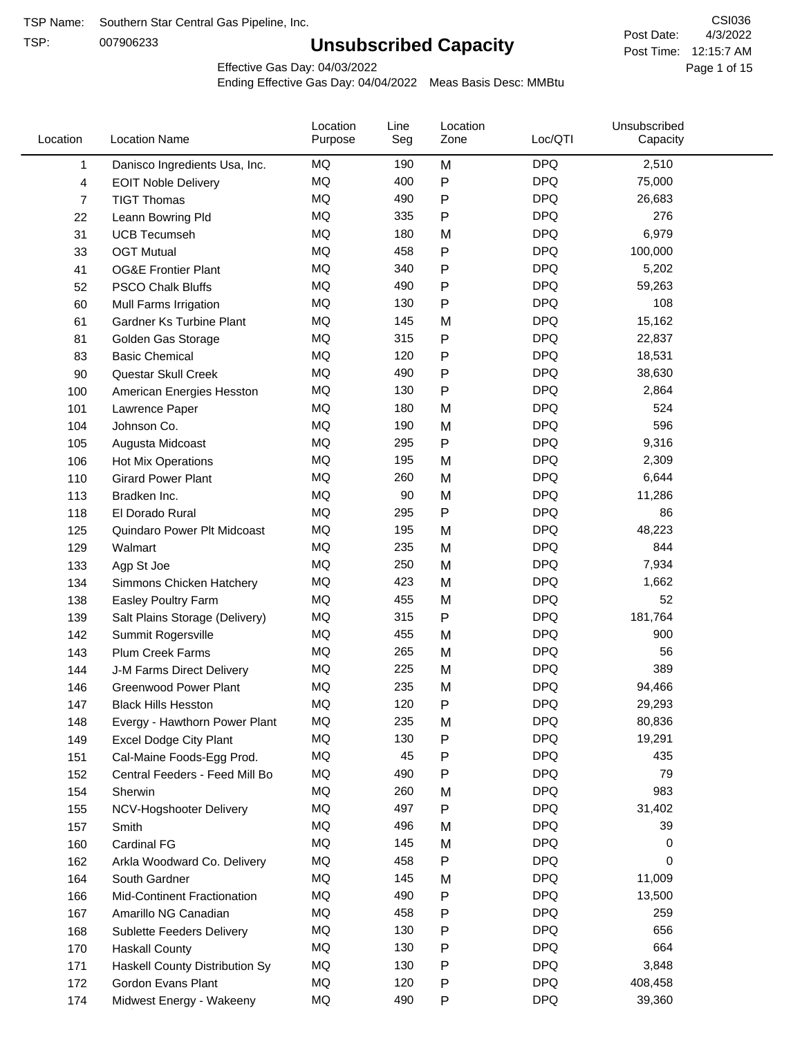TSP:

## **Unsubscribed Capacity**

4/3/2022 Page 1 of 15 Post Time: 12:15:7 AM CSI036 Post Date:

Effective Gas Day: 04/03/2022

| Location | <b>Location Name</b>               | Location<br>Purpose | Line<br>Seg | Location<br>Zone | Loc/QTI    | Unsubscribed<br>Capacity |  |
|----------|------------------------------------|---------------------|-------------|------------------|------------|--------------------------|--|
| 1        | Danisco Ingredients Usa, Inc.      | MQ                  | 190         | M                | <b>DPQ</b> | 2,510                    |  |
| 4        | <b>EOIT Noble Delivery</b>         | MQ                  | 400         | P                | <b>DPQ</b> | 75,000                   |  |
| 7        | <b>TIGT Thomas</b>                 | <b>MQ</b>           | 490         | P                | <b>DPQ</b> | 26,683                   |  |
| 22       | Leann Bowring Pld                  | MQ                  | 335         | $\mathsf{P}$     | <b>DPQ</b> | 276                      |  |
| 31       | <b>UCB Tecumseh</b>                | MQ                  | 180         | M                | <b>DPQ</b> | 6,979                    |  |
| 33       | <b>OGT Mutual</b>                  | MQ                  | 458         | P                | <b>DPQ</b> | 100,000                  |  |
| 41       | <b>OG&amp;E Frontier Plant</b>     | MQ                  | 340         | P                | <b>DPQ</b> | 5,202                    |  |
| 52       | <b>PSCO Chalk Bluffs</b>           | MQ                  | 490         | $\mathsf{P}$     | <b>DPQ</b> | 59,263                   |  |
| 60       | Mull Farms Irrigation              | MQ                  | 130         | P                | <b>DPQ</b> | 108                      |  |
| 61       | Gardner Ks Turbine Plant           | MQ                  | 145         | M                | <b>DPQ</b> | 15,162                   |  |
| 81       | Golden Gas Storage                 | MQ                  | 315         | P                | <b>DPQ</b> | 22,837                   |  |
| 83       | <b>Basic Chemical</b>              | MQ                  | 120         | P                | <b>DPQ</b> | 18,531                   |  |
| 90       | Questar Skull Creek                | MQ                  | 490         | P                | <b>DPQ</b> | 38,630                   |  |
| 100      | American Energies Hesston          | MQ                  | 130         | P                | <b>DPQ</b> | 2,864                    |  |
| 101      | Lawrence Paper                     | MQ                  | 180         | M                | <b>DPQ</b> | 524                      |  |
| 104      | Johnson Co.                        | MQ                  | 190         | M                | <b>DPQ</b> | 596                      |  |
| 105      | Augusta Midcoast                   | MQ                  | 295         | $\mathsf{P}$     | <b>DPQ</b> | 9,316                    |  |
| 106      | Hot Mix Operations                 | MQ                  | 195         | M                | <b>DPQ</b> | 2,309                    |  |
| 110      | <b>Girard Power Plant</b>          | MQ                  | 260         | M                | <b>DPQ</b> | 6,644                    |  |
| 113      | Bradken Inc.                       | MQ                  | 90          | M                | <b>DPQ</b> | 11,286                   |  |
| 118      | El Dorado Rural                    | MQ                  | 295         | P                | <b>DPQ</b> | 86                       |  |
| 125      | Quindaro Power Plt Midcoast        | MQ                  | 195         | M                | <b>DPQ</b> | 48,223                   |  |
| 129      | Walmart                            | MQ                  | 235         | M                | <b>DPQ</b> | 844                      |  |
| 133      | Agp St Joe                         | MQ                  | 250         | M                | <b>DPQ</b> | 7,934                    |  |
| 134      | Simmons Chicken Hatchery           | MQ                  | 423         | M                | <b>DPQ</b> | 1,662                    |  |
| 138      | Easley Poultry Farm                | MQ                  | 455         | M                | <b>DPQ</b> | 52                       |  |
| 139      | Salt Plains Storage (Delivery)     | MQ                  | 315         | P                | <b>DPQ</b> | 181,764                  |  |
| 142      | Summit Rogersville                 | MQ                  | 455         | M                | <b>DPQ</b> | 900                      |  |
| 143      | <b>Plum Creek Farms</b>            | MQ                  | 265         | M                | <b>DPQ</b> | 56                       |  |
| 144      | J-M Farms Direct Delivery          | MQ                  | 225         | M                | <b>DPQ</b> | 389                      |  |
| 146      | <b>Greenwood Power Plant</b>       | <b>MQ</b>           | 235         | M                | <b>DPQ</b> | 94,466                   |  |
| 147      | <b>Black Hills Hesston</b>         | MQ                  | 120         | Þ                | <b>DPQ</b> | 29,293                   |  |
| 148      | Evergy - Hawthorn Power Plant      | MQ                  | 235         | M                | DPQ        | 80,836                   |  |
| 149      | Excel Dodge City Plant             | MQ                  | 130         | P                | <b>DPQ</b> | 19,291                   |  |
| 151      | Cal-Maine Foods-Egg Prod.          | MQ                  | 45          | P                | <b>DPQ</b> | 435                      |  |
| 152      | Central Feeders - Feed Mill Bo     | MQ                  | 490         | P                | <b>DPQ</b> | 79                       |  |
| 154      | Sherwin                            | MQ                  | 260         | M                | <b>DPQ</b> | 983                      |  |
| 155      | NCV-Hogshooter Delivery            | MQ                  | 497         | P                | <b>DPQ</b> | 31,402                   |  |
| 157      | Smith                              | MQ                  | 496         | M                | <b>DPQ</b> | 39                       |  |
| 160      | Cardinal FG                        | MQ                  | 145         | M                | <b>DPQ</b> | 0                        |  |
| 162      | Arkla Woodward Co. Delivery        | MQ                  | 458         | Ρ                | <b>DPQ</b> | 0                        |  |
| 164      | South Gardner                      | MQ                  | 145         | M                | <b>DPQ</b> | 11,009                   |  |
| 166      | <b>Mid-Continent Fractionation</b> | MQ                  | 490         | P                | <b>DPQ</b> | 13,500                   |  |
| 167      | Amarillo NG Canadian               | MQ                  | 458         | P                | <b>DPQ</b> | 259                      |  |
| 168      | Sublette Feeders Delivery          | MQ                  | 130         | P                | <b>DPQ</b> | 656                      |  |
| 170      | <b>Haskall County</b>              | MQ                  | 130         | P                | <b>DPQ</b> | 664                      |  |
| 171      | Haskell County Distribution Sy     | MQ                  | 130         | P                | <b>DPQ</b> | 3,848                    |  |
| 172      | Gordon Evans Plant                 | MQ                  | 120         | P                | <b>DPQ</b> | 408,458                  |  |
| 174      | Midwest Energy - Wakeeny           | MQ                  | 490         | P                | <b>DPQ</b> | 39,360                   |  |
|          |                                    |                     |             |                  |            |                          |  |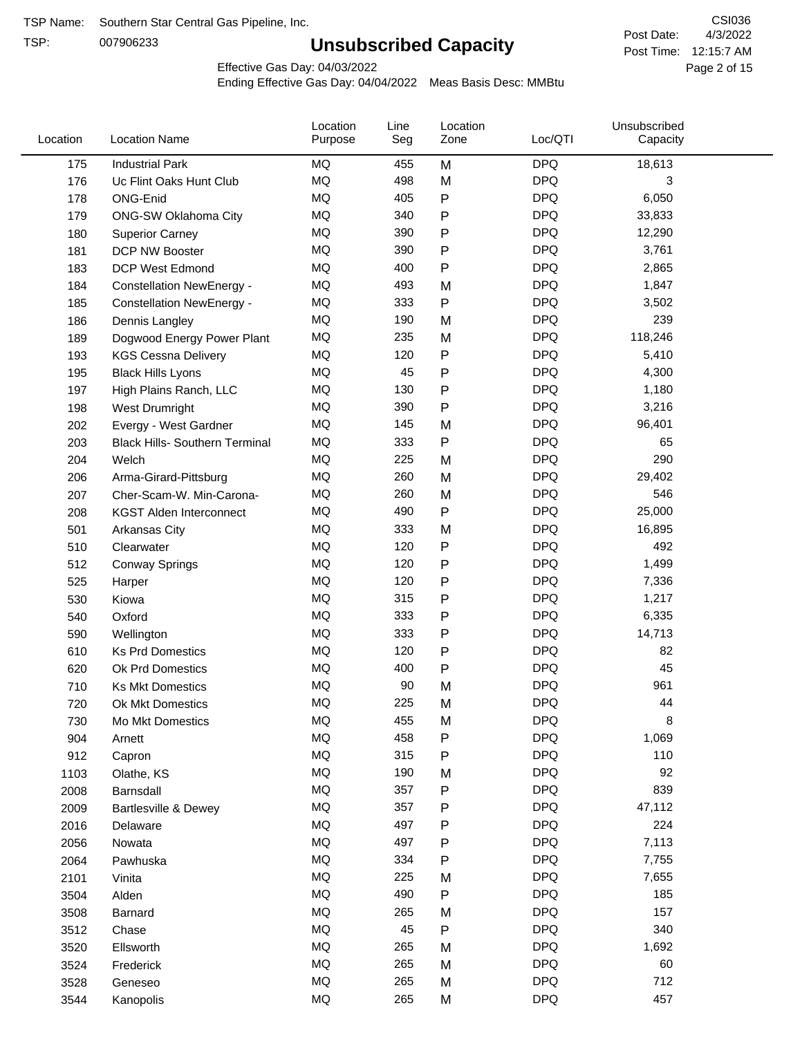TSP:

## **Unsubscribed Capacity**

4/3/2022 Page 2 of 15 Post Time: 12:15:7 AM CSI036 Post Date:

Effective Gas Day: 04/03/2022

| Location | <b>Location Name</b>                  | Location<br>Purpose | Line<br>Seg | Location<br>Zone | Loc/QTI    | Unsubscribed<br>Capacity |  |
|----------|---------------------------------------|---------------------|-------------|------------------|------------|--------------------------|--|
| 175      | <b>Industrial Park</b>                | <b>MQ</b>           | 455         | M                | <b>DPQ</b> | 18,613                   |  |
| 176      | Uc Flint Oaks Hunt Club               | MQ                  | 498         | M                | <b>DPQ</b> | 3                        |  |
| 178      | ONG-Enid                              | MQ                  | 405         | P                | <b>DPQ</b> | 6,050                    |  |
| 179      | <b>ONG-SW Oklahoma City</b>           | <b>MQ</b>           | 340         | P                | <b>DPQ</b> | 33,833                   |  |
| 180      | <b>Superior Carney</b>                | <b>MQ</b>           | 390         | P                | <b>DPQ</b> | 12,290                   |  |
| 181      | DCP NW Booster                        | MQ                  | 390         | $\mathsf{P}$     | <b>DPQ</b> | 3,761                    |  |
| 183      | <b>DCP West Edmond</b>                | MQ                  | 400         | $\mathsf{P}$     | <b>DPQ</b> | 2,865                    |  |
| 184      | <b>Constellation NewEnergy -</b>      | <b>MQ</b>           | 493         | M                | <b>DPQ</b> | 1,847                    |  |
| 185      | <b>Constellation NewEnergy -</b>      | MQ                  | 333         | P                | <b>DPQ</b> | 3,502                    |  |
| 186      | Dennis Langley                        | MQ                  | 190         | M                | <b>DPQ</b> | 239                      |  |
| 189      | Dogwood Energy Power Plant            | <b>MQ</b>           | 235         | M                | <b>DPQ</b> | 118,246                  |  |
| 193      | <b>KGS Cessna Delivery</b>            | MQ                  | 120         | P                | <b>DPQ</b> | 5,410                    |  |
| 195      | <b>Black Hills Lyons</b>              | <b>MQ</b>           | 45          | $\mathsf{P}$     | <b>DPQ</b> | 4,300                    |  |
| 197      | High Plains Ranch, LLC                | MQ                  | 130         | P                | <b>DPQ</b> | 1,180                    |  |
| 198      | West Drumright                        | <b>MQ</b>           | 390         | $\mathsf{P}$     | <b>DPQ</b> | 3,216                    |  |
| 202      | Evergy - West Gardner                 | <b>MQ</b>           | 145         | M                | <b>DPQ</b> | 96,401                   |  |
| 203      | <b>Black Hills- Southern Terminal</b> | MQ                  | 333         | $\mathsf{P}$     | <b>DPQ</b> | 65                       |  |
| 204      | Welch                                 | MQ                  | 225         | M                | <b>DPQ</b> | 290                      |  |
| 206      | Arma-Girard-Pittsburg                 | <b>MQ</b>           | 260         | M                | <b>DPQ</b> | 29,402                   |  |
| 207      | Cher-Scam-W. Min-Carona-              | MQ                  | 260         | M                | <b>DPQ</b> | 546                      |  |
| 208      | <b>KGST Alden Interconnect</b>        | <b>MQ</b>           | 490         | P                | <b>DPQ</b> | 25,000                   |  |
| 501      | Arkansas City                         | <b>MQ</b>           | 333         | M                | <b>DPQ</b> | 16,895                   |  |
| 510      | Clearwater                            | <b>MQ</b>           | 120         | Ρ                | <b>DPQ</b> | 492                      |  |
| 512      | <b>Conway Springs</b>                 | <b>MQ</b>           | 120         | ${\sf P}$        | <b>DPQ</b> | 1,499                    |  |
| 525      | Harper                                | <b>MQ</b>           | 120         | $\mathsf{P}$     | <b>DPQ</b> | 7,336                    |  |
| 530      | Kiowa                                 | <b>MQ</b>           | 315         | $\mathsf{P}$     | <b>DPQ</b> | 1,217                    |  |
| 540      | Oxford                                | <b>MQ</b>           | 333         | $\mathsf{P}$     | <b>DPQ</b> | 6,335                    |  |
| 590      | Wellington                            | <b>MQ</b>           | 333         | Ρ                | <b>DPQ</b> | 14,713                   |  |
| 610      | <b>Ks Prd Domestics</b>               | MQ                  | 120         | ${\sf P}$        | <b>DPQ</b> | 82                       |  |
| 620      | Ok Prd Domestics                      | <b>MQ</b>           | 400         | P                | <b>DPQ</b> | 45                       |  |
| 710      | <b>Ks Mkt Domestics</b>               | <b>MQ</b>           | 90          | M                | <b>DPQ</b> | 961                      |  |
| 720      | Ok Mkt Domestics                      | MQ                  | 225         | M                | <b>DPQ</b> | 44                       |  |
| 730      | Mo Mkt Domestics                      | MQ                  | 455         | M                | <b>DPQ</b> | 8                        |  |
| 904      | Arnett                                | MQ                  | 458         | P                | <b>DPQ</b> | 1,069                    |  |
| 912      | Capron                                | $\sf{MQ}$           | 315         | Ρ                | <b>DPQ</b> | 110                      |  |
| 1103     | Olathe, KS                            | $\sf{MQ}$           | 190         | M                | <b>DPQ</b> | 92                       |  |
| 2008     | Barnsdall                             | MQ                  | 357         | P                | <b>DPQ</b> | 839                      |  |
| 2009     | <b>Bartlesville &amp; Dewey</b>       | MQ                  | 357         | P                | <b>DPQ</b> | 47,112                   |  |
| 2016     | Delaware                              | MQ                  | 497         | Ρ                | <b>DPQ</b> | 224                      |  |
| 2056     | Nowata                                | $\sf{MQ}$           | 497         | Ρ                | <b>DPQ</b> | 7,113                    |  |
| 2064     | Pawhuska                              | $\sf{MQ}$           | 334         | Ρ                | <b>DPQ</b> | 7,755                    |  |
| 2101     | Vinita                                | MQ                  | 225         | M                | <b>DPQ</b> | 7,655                    |  |
| 3504     | Alden                                 | MQ                  | 490         | P                | <b>DPQ</b> | 185                      |  |
| 3508     | Barnard                               | MQ                  | 265         | M                | <b>DPQ</b> | 157                      |  |
| 3512     | Chase                                 | $\sf{MQ}$           | 45          | P                | <b>DPQ</b> | 340                      |  |
| 3520     | Ellsworth                             | MQ                  | 265         | M                | <b>DPQ</b> | 1,692                    |  |
| 3524     | Frederick                             | MQ                  | 265         | M                | <b>DPQ</b> | 60                       |  |
| 3528     | Geneseo                               | MQ                  | 265         | M                | <b>DPQ</b> | 712                      |  |
| 3544     | Kanopolis                             | $\sf{MQ}$           | 265         | M                | <b>DPQ</b> | 457                      |  |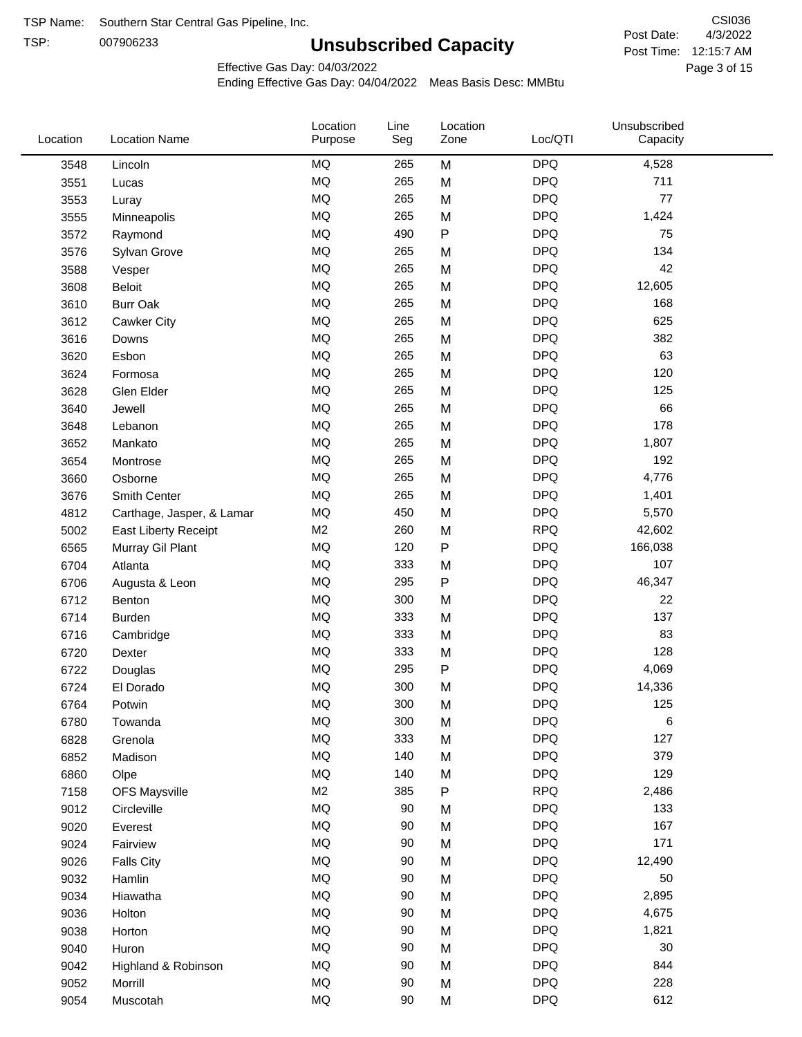TSP: 

# **Unsubscribed Capacity**

4/3/2022 Page 3 of 15 Post Time: 12:15:7 AM CSI036 Post Date:

Effective Gas Day: 04/03/2022

| Location | <b>Location Name</b>      | Location<br>Purpose | Line<br>Seg | Location<br>Zone | Loc/QTI    | Unsubscribed<br>Capacity |  |
|----------|---------------------------|---------------------|-------------|------------------|------------|--------------------------|--|
| 3548     | Lincoln                   | <b>MQ</b>           | 265         | M                | <b>DPQ</b> | 4,528                    |  |
| 3551     | Lucas                     | MQ                  | 265         | M                | <b>DPQ</b> | 711                      |  |
| 3553     | Luray                     | <b>MQ</b>           | 265         | M                | <b>DPQ</b> | 77                       |  |
| 3555     | Minneapolis               | <b>MQ</b>           | 265         | M                | <b>DPQ</b> | 1,424                    |  |
| 3572     | Raymond                   | <b>MQ</b>           | 490         | $\sf P$          | <b>DPQ</b> | 75                       |  |
| 3576     | Sylvan Grove              | <b>MQ</b>           | 265         | M                | <b>DPQ</b> | 134                      |  |
| 3588     | Vesper                    | MQ                  | 265         | M                | <b>DPQ</b> | 42                       |  |
| 3608     | <b>Beloit</b>             | <b>MQ</b>           | 265         | M                | <b>DPQ</b> | 12,605                   |  |
| 3610     | <b>Burr Oak</b>           | <b>MQ</b>           | 265         | M                | <b>DPQ</b> | 168                      |  |
| 3612     | Cawker City               | <b>MQ</b>           | 265         | M                | <b>DPQ</b> | 625                      |  |
| 3616     | Downs                     | MQ                  | 265         | M                | <b>DPQ</b> | 382                      |  |
| 3620     | Esbon                     | MQ                  | 265         | M                | <b>DPQ</b> | 63                       |  |
| 3624     | Formosa                   | <b>MQ</b>           | 265         | M                | <b>DPQ</b> | 120                      |  |
| 3628     | Glen Elder                | <b>MQ</b>           | 265         | M                | <b>DPQ</b> | 125                      |  |
| 3640     | Jewell                    | <b>MQ</b>           | 265         | M                | <b>DPQ</b> | 66                       |  |
| 3648     | Lebanon                   | MQ                  | 265         | M                | <b>DPQ</b> | 178                      |  |
| 3652     | Mankato                   | <b>MQ</b>           | 265         | M                | <b>DPQ</b> | 1,807                    |  |
| 3654     | Montrose                  | <b>MQ</b>           | 265         | M                | <b>DPQ</b> | 192                      |  |
| 3660     | Osborne                   | <b>MQ</b>           | 265         | M                | <b>DPQ</b> | 4,776                    |  |
| 3676     | Smith Center              | MQ                  | 265         | M                | <b>DPQ</b> | 1,401                    |  |
| 4812     | Carthage, Jasper, & Lamar | MQ                  | 450         | M                | <b>DPQ</b> | 5,570                    |  |
| 5002     | East Liberty Receipt      | M <sub>2</sub>      | 260         | M                | <b>RPQ</b> | 42,602                   |  |
| 6565     | Murray Gil Plant          | MQ                  | 120         | $\mathsf{P}$     | <b>DPQ</b> | 166,038                  |  |
| 6704     | Atlanta                   | <b>MQ</b>           | 333         | M                | <b>DPQ</b> | 107                      |  |
| 6706     | Augusta & Leon            | MQ                  | 295         | ${\sf P}$        | <b>DPQ</b> | 46,347                   |  |
| 6712     | Benton                    | <b>MQ</b>           | 300         | M                | <b>DPQ</b> | 22                       |  |
| 6714     | Burden                    | <b>MQ</b>           | 333         | M                | <b>DPQ</b> | 137                      |  |
| 6716     | Cambridge                 | MQ                  | 333         | M                | <b>DPQ</b> | 83                       |  |
| 6720     | Dexter                    | <b>MQ</b>           | 333         | M                | <b>DPQ</b> | 128                      |  |
| 6722     | Douglas                   | <b>MQ</b>           | 295         | ${\sf P}$        | <b>DPQ</b> | 4,069                    |  |
| 6724     | El Dorado                 | <b>MQ</b>           | 300         | M                | <b>DPQ</b> | 14,336                   |  |
| 6764     | Potwin                    | <b>MQ</b>           | 300         | M                | <b>DPQ</b> | 125                      |  |
| 6780     | Towanda                   | MQ                  | 300         | M                | <b>DPQ</b> | 6                        |  |
| 6828     | Grenola                   | MQ                  | 333         | M                | <b>DPQ</b> | 127                      |  |
| 6852     | Madison                   | MQ                  | 140         | M                | <b>DPQ</b> | 379                      |  |
| 6860     | Olpe                      | MQ                  | 140         | M                | <b>DPQ</b> | 129                      |  |
| 7158     | <b>OFS Maysville</b>      | M <sub>2</sub>      | 385         | ${\sf P}$        | <b>RPQ</b> | 2,486                    |  |
| 9012     | Circleville               | MQ                  | 90          | M                | <b>DPQ</b> | 133                      |  |
| 9020     | Everest                   | MQ                  | 90          | M                | <b>DPQ</b> | 167                      |  |
| 9024     | Fairview                  | MQ                  | 90          | M                | <b>DPQ</b> | 171                      |  |
| 9026     | <b>Falls City</b>         | MQ                  | 90          | M                | <b>DPQ</b> | 12,490                   |  |
| 9032     | Hamlin                    | MQ                  | 90          | M                | <b>DPQ</b> | 50                       |  |
| 9034     | Hiawatha                  | MQ                  | 90          | M                | <b>DPQ</b> | 2,895                    |  |
| 9036     | Holton                    | <b>MQ</b>           | 90          | M                | <b>DPQ</b> | 4,675                    |  |
| 9038     | Horton                    | <b>MQ</b>           | 90          | M                | <b>DPQ</b> | 1,821                    |  |
| 9040     | Huron                     | MQ                  | 90          | M                | <b>DPQ</b> | 30                       |  |
| 9042     | Highland & Robinson       | MQ                  | 90          | M                | <b>DPQ</b> | 844                      |  |
| 9052     | Morrill                   | $\sf{MQ}$           | 90          | M                | <b>DPQ</b> | 228                      |  |
| 9054     | Muscotah                  | $\sf{MQ}$           | 90          | M                | <b>DPQ</b> | 612                      |  |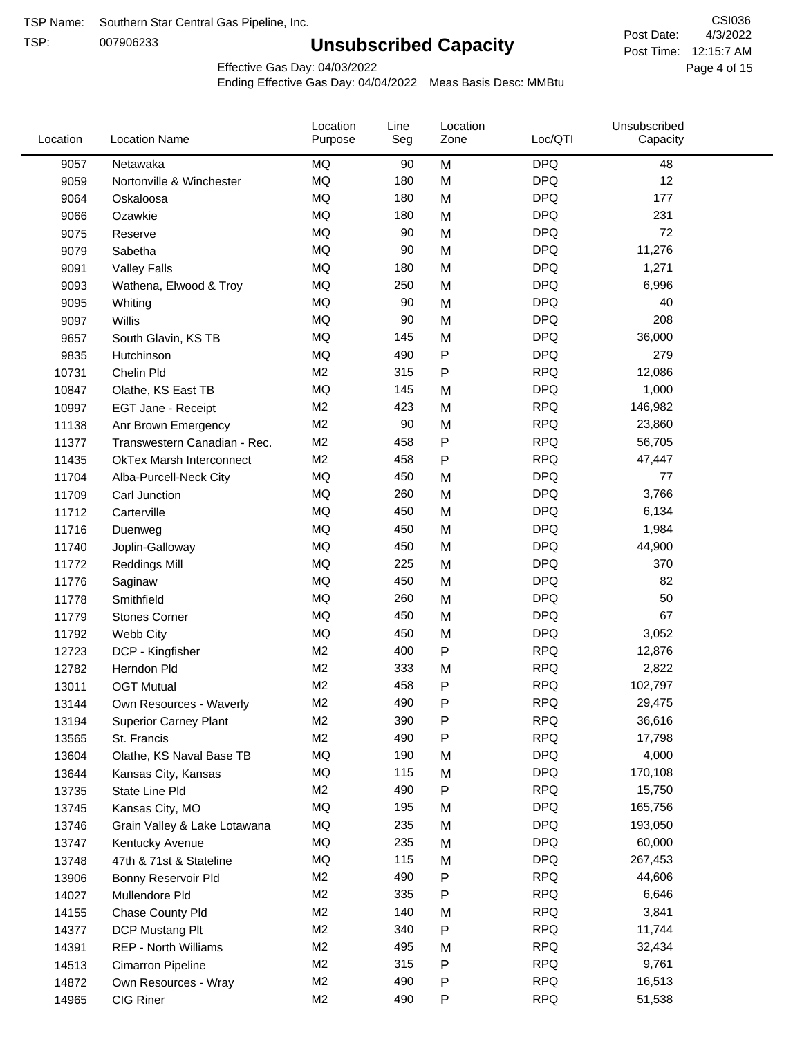TSP:

## **Unsubscribed Capacity**

4/3/2022 Page 4 of 15 Post Time: 12:15:7 AM CSI036 Post Date:

Effective Gas Day: 04/03/2022

| Location | <b>Location Name</b>            | Location<br>Purpose | Line<br>Seg | Location<br>Zone | Loc/QTI    | Unsubscribed<br>Capacity |  |
|----------|---------------------------------|---------------------|-------------|------------------|------------|--------------------------|--|
| 9057     | Netawaka                        | <b>MQ</b>           | 90          | M                | <b>DPQ</b> | 48                       |  |
| 9059     | Nortonville & Winchester        | <b>MQ</b>           | 180         | M                | <b>DPQ</b> | 12                       |  |
| 9064     | Oskaloosa                       | <b>MQ</b>           | 180         | M                | <b>DPQ</b> | 177                      |  |
| 9066     | Ozawkie                         | <b>MQ</b>           | 180         | M                | <b>DPQ</b> | 231                      |  |
| 9075     | Reserve                         | <b>MQ</b>           | 90          | M                | <b>DPQ</b> | 72                       |  |
| 9079     | Sabetha                         | <b>MQ</b>           | 90          | M                | <b>DPQ</b> | 11,276                   |  |
| 9091     | <b>Valley Falls</b>             | <b>MQ</b>           | 180         | M                | <b>DPQ</b> | 1,271                    |  |
| 9093     | Wathena, Elwood & Troy          | MQ                  | 250         | M                | <b>DPQ</b> | 6,996                    |  |
| 9095     | Whiting                         | <b>MQ</b>           | 90          | M                | <b>DPQ</b> | 40                       |  |
| 9097     | Willis                          | <b>MQ</b>           | 90          | M                | <b>DPQ</b> | 208                      |  |
| 9657     | South Glavin, KS TB             | <b>MQ</b>           | 145         | M                | <b>DPQ</b> | 36,000                   |  |
| 9835     | Hutchinson                      | <b>MQ</b>           | 490         | P                | <b>DPQ</b> | 279                      |  |
| 10731    | Chelin Pld                      | M <sub>2</sub>      | 315         | P                | <b>RPQ</b> | 12,086                   |  |
| 10847    | Olathe, KS East TB              | <b>MQ</b>           | 145         | M                | <b>DPQ</b> | 1,000                    |  |
| 10997    | EGT Jane - Receipt              | M <sub>2</sub>      | 423         | M                | <b>RPQ</b> | 146,982                  |  |
| 11138    | Anr Brown Emergency             | M <sub>2</sub>      | 90          | M                | <b>RPQ</b> | 23,860                   |  |
| 11377    | Transwestern Canadian - Rec.    | M <sub>2</sub>      | 458         | Ρ                | <b>RPQ</b> | 56,705                   |  |
| 11435    | <b>OkTex Marsh Interconnect</b> | M <sub>2</sub>      | 458         | Ρ                | <b>RPQ</b> | 47,447                   |  |
| 11704    | Alba-Purcell-Neck City          | <b>MQ</b>           | 450         | M                | <b>DPQ</b> | 77                       |  |
| 11709    | Carl Junction                   | <b>MQ</b>           | 260         | M                | <b>DPQ</b> | 3,766                    |  |
| 11712    | Carterville                     | <b>MQ</b>           | 450         | M                | <b>DPQ</b> | 6,134                    |  |
| 11716    | Duenweg                         | MQ                  | 450         | M                | <b>DPQ</b> | 1,984                    |  |
| 11740    | Joplin-Galloway                 | <b>MQ</b>           | 450         | M                | <b>DPQ</b> | 44,900                   |  |
| 11772    | <b>Reddings Mill</b>            | <b>MQ</b>           | 225         | M                | <b>DPQ</b> | 370                      |  |
| 11776    | Saginaw                         | <b>MQ</b>           | 450         | M                | <b>DPQ</b> | 82                       |  |
| 11778    | Smithfield                      | <b>MQ</b>           | 260         | M                | <b>DPQ</b> | 50                       |  |
| 11779    | <b>Stones Corner</b>            | <b>MQ</b>           | 450         | M                | <b>DPQ</b> | 67                       |  |
| 11792    | Webb City                       | <b>MQ</b>           | 450         | M                | <b>DPQ</b> | 3,052                    |  |
| 12723    | DCP - Kingfisher                | M <sub>2</sub>      | 400         | P                | <b>RPQ</b> | 12,876                   |  |
| 12782    | Herndon Pld                     | M <sub>2</sub>      | 333         | M                | <b>RPQ</b> | 2,822                    |  |
| 13011    | <b>OGT Mutual</b>               | M <sub>2</sub>      | 458         | P                | <b>RPQ</b> | 102,797                  |  |
| 13144    | Own Resources - Waverly         | M <sub>2</sub>      | 490         | P                | <b>RPQ</b> | 29,475                   |  |
| 13194    | <b>Superior Carney Plant</b>    | M2                  | 390         | P                | <b>RPQ</b> | 36,616                   |  |
| 13565    | St. Francis                     | M <sub>2</sub>      | 490         | P                | <b>RPQ</b> | 17,798                   |  |
| 13604    | Olathe, KS Naval Base TB        | MQ                  | 190         | M                | <b>DPQ</b> | 4,000                    |  |
| 13644    | Kansas City, Kansas             | MQ                  | 115         | M                | <b>DPQ</b> | 170,108                  |  |
| 13735    | State Line Pld                  | M <sub>2</sub>      | 490         | Ρ                | <b>RPQ</b> | 15,750                   |  |
| 13745    | Kansas City, MO                 | MQ                  | 195         | M                | <b>DPQ</b> | 165,756                  |  |
| 13746    | Grain Valley & Lake Lotawana    | MQ                  | 235         | M                | <b>DPQ</b> | 193,050                  |  |
| 13747    | Kentucky Avenue                 | MQ                  | 235         | M                | <b>DPQ</b> | 60,000                   |  |
| 13748    | 47th & 71st & Stateline         | MQ                  | 115         | M                | <b>DPQ</b> | 267,453                  |  |
| 13906    | Bonny Reservoir Pld             | M2                  | 490         | P                | <b>RPQ</b> | 44,606                   |  |
| 14027    | Mullendore Pld                  | M <sub>2</sub>      | 335         | P                | <b>RPQ</b> | 6,646                    |  |
| 14155    | Chase County Pld                | M <sub>2</sub>      | 140         | M                | <b>RPQ</b> | 3,841                    |  |
| 14377    | DCP Mustang Plt                 | M <sub>2</sub>      | 340         | Ρ                | <b>RPQ</b> | 11,744                   |  |
| 14391    | <b>REP - North Williams</b>     | M <sub>2</sub>      | 495         | M                | <b>RPQ</b> | 32,434                   |  |
| 14513    | Cimarron Pipeline               | M <sub>2</sub>      | 315         | Ρ                | <b>RPQ</b> | 9,761                    |  |
| 14872    | Own Resources - Wray            | M <sub>2</sub>      | 490         | P                | <b>RPQ</b> | 16,513                   |  |
| 14965    | CIG Riner                       | M <sub>2</sub>      | 490         | Ρ                | <b>RPQ</b> | 51,538                   |  |
|          |                                 |                     |             |                  |            |                          |  |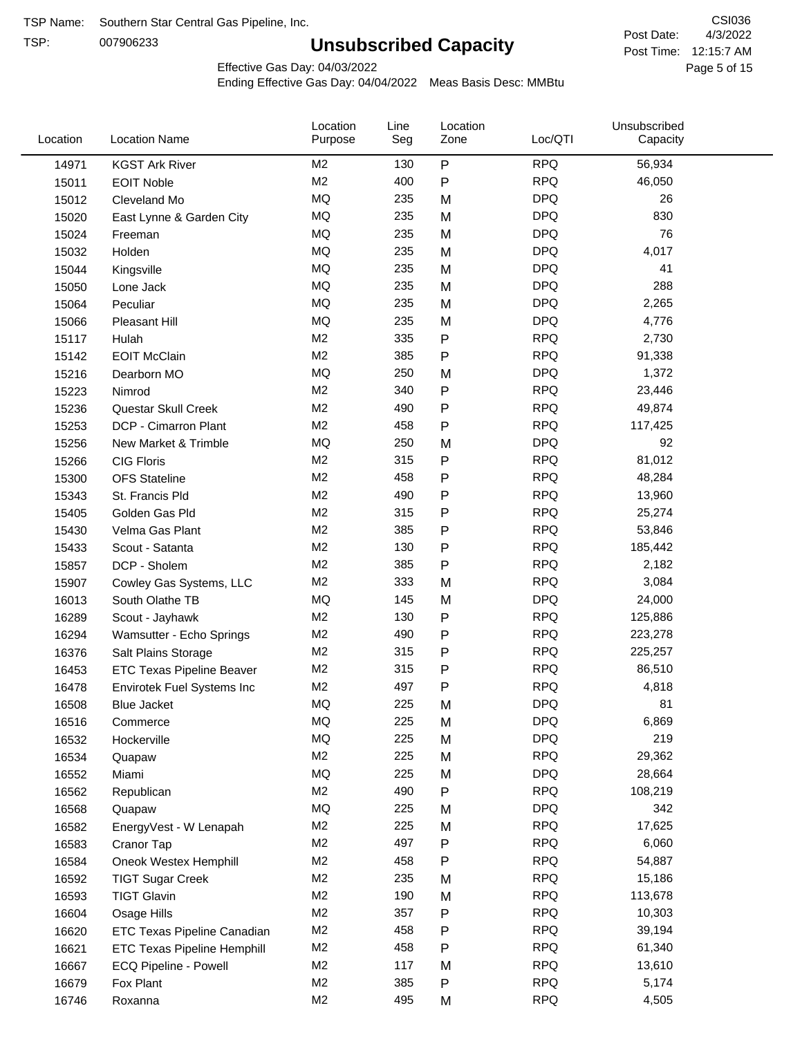TSP:

## **Unsubscribed Capacity**

4/3/2022 Page 5 of 15 Post Time: 12:15:7 AM CSI036 Post Date:

Effective Gas Day: 04/03/2022

| Location | <b>Location Name</b>               | Location<br>Purpose | Line<br>Seg | Location<br>Zone | Loc/QTI    | Unsubscribed<br>Capacity |  |
|----------|------------------------------------|---------------------|-------------|------------------|------------|--------------------------|--|
| 14971    | <b>KGST Ark River</b>              | M <sub>2</sub>      | 130         | ${\sf P}$        | <b>RPQ</b> | 56,934                   |  |
| 15011    | <b>EOIT Noble</b>                  | M <sub>2</sub>      | 400         | $\mathsf{P}$     | <b>RPQ</b> | 46,050                   |  |
| 15012    | Cleveland Mo                       | <b>MQ</b>           | 235         | M                | <b>DPQ</b> | 26                       |  |
| 15020    | East Lynne & Garden City           | <b>MQ</b>           | 235         | M                | <b>DPQ</b> | 830                      |  |
| 15024    | Freeman                            | <b>MQ</b>           | 235         | M                | <b>DPQ</b> | 76                       |  |
| 15032    | Holden                             | <b>MQ</b>           | 235         | M                | <b>DPQ</b> | 4,017                    |  |
| 15044    | Kingsville                         | MQ                  | 235         | M                | <b>DPQ</b> | 41                       |  |
| 15050    | Lone Jack                          | <b>MQ</b>           | 235         | M                | <b>DPQ</b> | 288                      |  |
| 15064    | Peculiar                           | <b>MQ</b>           | 235         | M                | <b>DPQ</b> | 2,265                    |  |
| 15066    | <b>Pleasant Hill</b>               | MQ                  | 235         | M                | <b>DPQ</b> | 4,776                    |  |
| 15117    | Hulah                              | M <sub>2</sub>      | 335         | Ρ                | <b>RPQ</b> | 2,730                    |  |
| 15142    | <b>EOIT McClain</b>                | M <sub>2</sub>      | 385         | P                | <b>RPQ</b> | 91,338                   |  |
| 15216    | Dearborn MO                        | MQ                  | 250         | M                | <b>DPQ</b> | 1,372                    |  |
| 15223    | Nimrod                             | M <sub>2</sub>      | 340         | ${\sf P}$        | <b>RPQ</b> | 23,446                   |  |
| 15236    | Questar Skull Creek                | M <sub>2</sub>      | 490         | P                | <b>RPQ</b> | 49,874                   |  |
| 15253    | DCP - Cimarron Plant               | M <sub>2</sub>      | 458         | $\mathsf{P}$     | <b>RPQ</b> | 117,425                  |  |
| 15256    | New Market & Trimble               | <b>MQ</b>           | 250         | M                | <b>DPQ</b> | 92                       |  |
| 15266    | <b>CIG Floris</b>                  | M <sub>2</sub>      | 315         | Ρ                | <b>RPQ</b> | 81,012                   |  |
| 15300    | <b>OFS Stateline</b>               | M <sub>2</sub>      | 458         | Ρ                | <b>RPQ</b> | 48,284                   |  |
| 15343    | St. Francis Pld                    | M <sub>2</sub>      | 490         | $\mathsf{P}$     | <b>RPQ</b> | 13,960                   |  |
| 15405    | Golden Gas Pld                     | M <sub>2</sub>      | 315         | $\mathsf{P}$     | <b>RPQ</b> | 25,274                   |  |
| 15430    | Velma Gas Plant                    | M <sub>2</sub>      | 385         | $\mathsf{P}$     | <b>RPQ</b> | 53,846                   |  |
| 15433    | Scout - Satanta                    | M <sub>2</sub>      | 130         | P                | <b>RPQ</b> | 185,442                  |  |
| 15857    | DCP - Sholem                       | M <sub>2</sub>      | 385         | P                | <b>RPQ</b> | 2,182                    |  |
| 15907    | Cowley Gas Systems, LLC            | M <sub>2</sub>      | 333         | M                | <b>RPQ</b> | 3,084                    |  |
| 16013    | South Olathe TB                    | MQ                  | 145         | M                | <b>DPQ</b> | 24,000                   |  |
| 16289    | Scout - Jayhawk                    | M <sub>2</sub>      | 130         | Ρ                | <b>RPQ</b> | 125,886                  |  |
| 16294    | Wamsutter - Echo Springs           | M <sub>2</sub>      | 490         | P                | <b>RPQ</b> | 223,278                  |  |
| 16376    | Salt Plains Storage                | M <sub>2</sub>      | 315         | Ρ                | <b>RPQ</b> | 225,257                  |  |
| 16453    | <b>ETC Texas Pipeline Beaver</b>   | M <sub>2</sub>      | 315         | P                | <b>RPQ</b> | 86,510                   |  |
| 16478    | Envirotek Fuel Systems Inc         | M <sub>2</sub>      | 497         | P                | <b>RPQ</b> | 4,818                    |  |
| 16508    | Blue Jacket                        | MQ                  | 225         | M                | <b>DPQ</b> | 81                       |  |
| 16516    | Commerce                           | MQ                  | 225         | M                | <b>DPQ</b> | 6,869                    |  |
| 16532    | Hockerville                        | <b>MQ</b>           | 225         | M                | <b>DPQ</b> | 219                      |  |
| 16534    | Quapaw                             | M <sub>2</sub>      | 225         | M                | <b>RPQ</b> | 29,362                   |  |
| 16552    | Miami                              | MQ                  | 225         | M                | <b>DPQ</b> | 28,664                   |  |
| 16562    | Republican                         | M <sub>2</sub>      | 490         | ${\sf P}$        | <b>RPQ</b> | 108,219                  |  |
| 16568    | Quapaw                             | <b>MQ</b>           | 225         | M                | <b>DPQ</b> | 342                      |  |
| 16582    | EnergyVest - W Lenapah             | M <sub>2</sub>      | 225         | M                | <b>RPQ</b> | 17,625                   |  |
| 16583    | Cranor Tap                         | M <sub>2</sub>      | 497         | Ρ                | <b>RPQ</b> | 6,060                    |  |
| 16584    | Oneok Westex Hemphill              | M <sub>2</sub>      | 458         | Ρ                | <b>RPQ</b> | 54,887                   |  |
| 16592    | <b>TIGT Sugar Creek</b>            | M <sub>2</sub>      | 235         | M                | <b>RPQ</b> | 15,186                   |  |
| 16593    | <b>TIGT Glavin</b>                 | M <sub>2</sub>      | 190         | M                | <b>RPQ</b> | 113,678                  |  |
| 16604    | Osage Hills                        | M <sub>2</sub>      | 357         | Ρ                | <b>RPQ</b> | 10,303                   |  |
| 16620    | <b>ETC Texas Pipeline Canadian</b> | M <sub>2</sub>      | 458         | Ρ                | <b>RPQ</b> | 39,194                   |  |
| 16621    | <b>ETC Texas Pipeline Hemphill</b> | M <sub>2</sub>      | 458         | Ρ                | <b>RPQ</b> | 61,340                   |  |
| 16667    | ECQ Pipeline - Powell              | M <sub>2</sub>      | 117         | M                | <b>RPQ</b> | 13,610                   |  |
| 16679    | Fox Plant                          | M <sub>2</sub>      | 385         | Ρ                | <b>RPQ</b> | 5,174                    |  |
| 16746    | Roxanna                            | M <sub>2</sub>      | 495         | M                | <b>RPQ</b> | 4,505                    |  |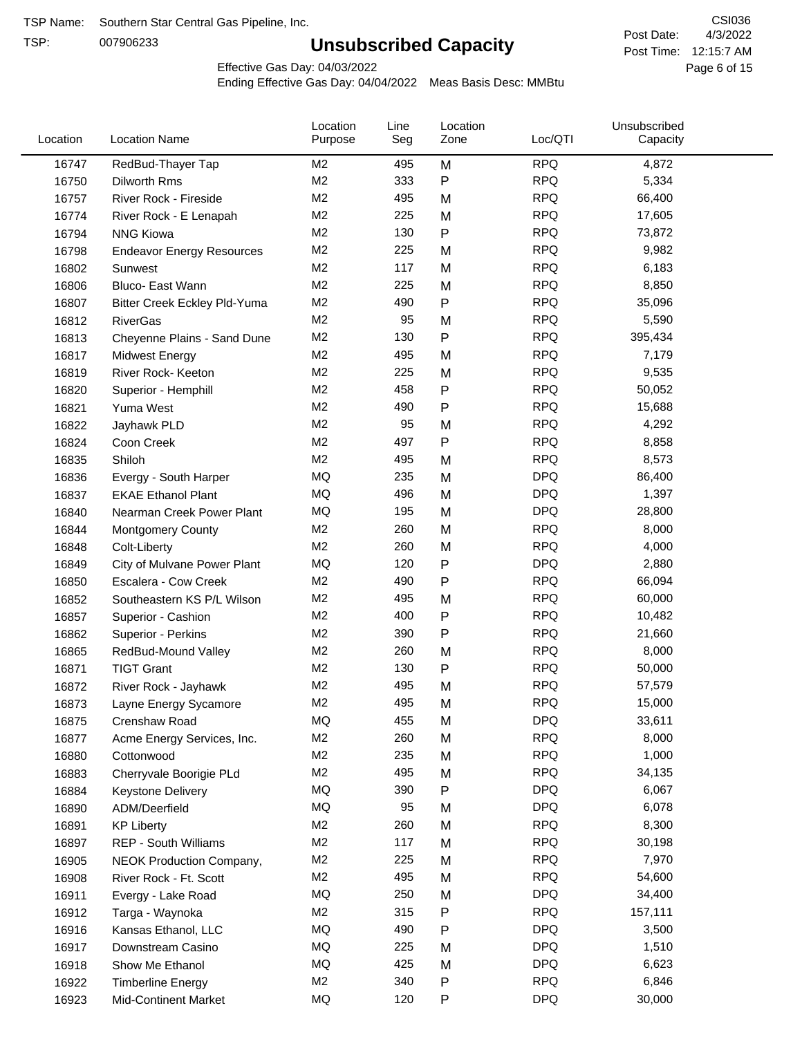TSP:

## **Unsubscribed Capacity**

4/3/2022 Page 6 of 15 Post Time: 12:15:7 AM CSI036 Post Date:

Effective Gas Day: 04/03/2022

| Location | <b>Location Name</b>                | Location<br>Purpose | Line<br>Seg | Location<br>Zone | Loc/QTI    | Unsubscribed<br>Capacity |  |
|----------|-------------------------------------|---------------------|-------------|------------------|------------|--------------------------|--|
| 16747    | RedBud-Thayer Tap                   | M2                  | 495         | M                | <b>RPQ</b> | 4,872                    |  |
| 16750    | Dilworth Rms                        | M2                  | 333         | P                | <b>RPQ</b> | 5,334                    |  |
| 16757    | River Rock - Fireside               | M <sub>2</sub>      | 495         | M                | <b>RPQ</b> | 66,400                   |  |
| 16774    | River Rock - E Lenapah              | M <sub>2</sub>      | 225         | M                | <b>RPQ</b> | 17,605                   |  |
| 16794    | <b>NNG Kiowa</b>                    | M <sub>2</sub>      | 130         | P                | <b>RPQ</b> | 73,872                   |  |
| 16798    | <b>Endeavor Energy Resources</b>    | M <sub>2</sub>      | 225         | M                | <b>RPQ</b> | 9,982                    |  |
| 16802    | Sunwest                             | M2                  | 117         | M                | <b>RPQ</b> | 6,183                    |  |
| 16806    | Bluco- East Wann                    | M <sub>2</sub>      | 225         | M                | <b>RPQ</b> | 8,850                    |  |
| 16807    | <b>Bitter Creek Eckley Pld-Yuma</b> | M2                  | 490         | P                | <b>RPQ</b> | 35,096                   |  |
| 16812    | <b>RiverGas</b>                     | M2                  | 95          | M                | <b>RPQ</b> | 5,590                    |  |
| 16813    | Cheyenne Plains - Sand Dune         | M <sub>2</sub>      | 130         | P                | <b>RPQ</b> | 395,434                  |  |
| 16817    | <b>Midwest Energy</b>               | M <sub>2</sub>      | 495         | M                | <b>RPQ</b> | 7,179                    |  |
| 16819    | River Rock- Keeton                  | M <sub>2</sub>      | 225         | M                | <b>RPQ</b> | 9,535                    |  |
| 16820    | Superior - Hemphill                 | M <sub>2</sub>      | 458         | Ρ                | <b>RPQ</b> | 50,052                   |  |
| 16821    | Yuma West                           | M <sub>2</sub>      | 490         | P                | <b>RPQ</b> | 15,688                   |  |
| 16822    | Jayhawk PLD                         | M <sub>2</sub>      | 95          | M                | <b>RPQ</b> | 4,292                    |  |
| 16824    | Coon Creek                          | M2                  | 497         | P                | <b>RPQ</b> | 8,858                    |  |
| 16835    | Shiloh                              | M2                  | 495         | M                | <b>RPQ</b> | 8,573                    |  |
| 16836    | Evergy - South Harper               | MQ                  | 235         | M                | <b>DPQ</b> | 86,400                   |  |
| 16837    | <b>EKAE Ethanol Plant</b>           | MQ                  | 496         | M                | <b>DPQ</b> | 1,397                    |  |
| 16840    | Nearman Creek Power Plant           | MQ                  | 195         | M                | <b>DPQ</b> | 28,800                   |  |
| 16844    | <b>Montgomery County</b>            | M <sub>2</sub>      | 260         | M                | <b>RPQ</b> | 8,000                    |  |
| 16848    | Colt-Liberty                        | M <sub>2</sub>      | 260         | M                | <b>RPQ</b> | 4,000                    |  |
| 16849    | City of Mulvane Power Plant         | <b>MQ</b>           | 120         | P                | <b>DPQ</b> | 2,880                    |  |
| 16850    | Escalera - Cow Creek                | M2                  | 490         | P                | <b>RPQ</b> | 66,094                   |  |
| 16852    | Southeastern KS P/L Wilson          | M <sub>2</sub>      | 495         | M                | <b>RPQ</b> | 60,000                   |  |
| 16857    | Superior - Cashion                  | M2                  | 400         | P                | <b>RPQ</b> | 10,482                   |  |
| 16862    | Superior - Perkins                  | M2                  | 390         | P                | <b>RPQ</b> | 21,660                   |  |
| 16865    | RedBud-Mound Valley                 | M <sub>2</sub>      | 260         | M                | <b>RPQ</b> | 8,000                    |  |
| 16871    | <b>TIGT Grant</b>                   | M <sub>2</sub>      | 130         | Ρ                | <b>RPQ</b> | 50,000                   |  |
| 16872    | River Rock - Jayhawk                | M <sub>2</sub>      | 495         | M                | <b>RPQ</b> | 57,579                   |  |
| 16873    | Layne Energy Sycamore               | M <sub>2</sub>      | 495         | M                | <b>RPQ</b> | 15,000                   |  |
| 16875    | Crenshaw Road                       | MQ                  | 455         | M                | <b>DPQ</b> | 33,611                   |  |
| 16877    | Acme Energy Services, Inc.          | M <sub>2</sub>      | 260         | M                | <b>RPQ</b> | 8,000                    |  |
| 16880    | Cottonwood                          | M <sub>2</sub>      | 235         | M                | <b>RPQ</b> | 1,000                    |  |
| 16883    | Cherryvale Boorigie PLd             | M <sub>2</sub>      | 495         | M                | <b>RPQ</b> | 34,135                   |  |
| 16884    | <b>Keystone Delivery</b>            | MQ                  | 390         | P                | <b>DPQ</b> | 6,067                    |  |
| 16890    | ADM/Deerfield                       | MQ                  | 95          | M                | <b>DPQ</b> | 6,078                    |  |
| 16891    | <b>KP Liberty</b>                   | M <sub>2</sub>      | 260         | M                | <b>RPQ</b> | 8,300                    |  |
| 16897    | REP - South Williams                | M <sub>2</sub>      | 117         | M                | <b>RPQ</b> | 30,198                   |  |
| 16905    | NEOK Production Company,            | M <sub>2</sub>      | 225         | M                | <b>RPQ</b> | 7,970                    |  |
| 16908    | River Rock - Ft. Scott              | M <sub>2</sub>      | 495         | M                | <b>RPQ</b> | 54,600                   |  |
| 16911    | Evergy - Lake Road                  | MQ                  | 250         | M                | <b>DPQ</b> | 34,400                   |  |
| 16912    | Targa - Waynoka                     | M <sub>2</sub>      | 315         | P                | <b>RPQ</b> | 157,111                  |  |
| 16916    | Kansas Ethanol, LLC                 | MQ                  | 490         | P                | <b>DPQ</b> | 3,500                    |  |
| 16917    | Downstream Casino                   | MQ                  | 225         | M                | <b>DPQ</b> | 1,510                    |  |
| 16918    | Show Me Ethanol                     | MQ                  | 425         | M                | <b>DPQ</b> | 6,623                    |  |
| 16922    | <b>Timberline Energy</b>            | M <sub>2</sub>      | 340         | P                | <b>RPQ</b> | 6,846                    |  |
| 16923    | <b>Mid-Continent Market</b>         | MQ                  | 120         | P                | <b>DPQ</b> | 30,000                   |  |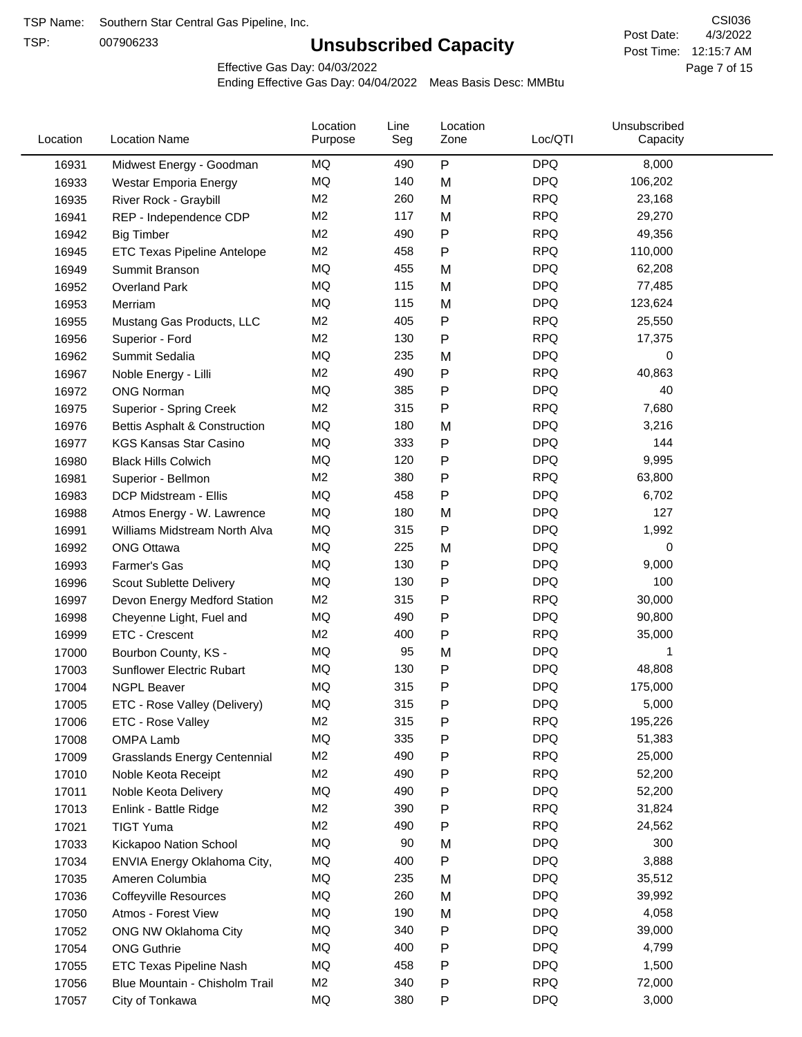TSP:

## **Unsubscribed Capacity**

4/3/2022 Page 7 of 15 Post Time: 12:15:7 AM CSI036 Post Date:

Effective Gas Day: 04/03/2022

| Location | <b>Location Name</b>                | Location<br>Purpose | Line<br>Seg | Location<br>Zone | Loc/QTI    | Unsubscribed<br>Capacity |  |
|----------|-------------------------------------|---------------------|-------------|------------------|------------|--------------------------|--|
| 16931    | Midwest Energy - Goodman            | MQ                  | 490         | ${\sf P}$        | <b>DPQ</b> | 8,000                    |  |
| 16933    | Westar Emporia Energy               | MQ                  | 140         | M                | <b>DPQ</b> | 106,202                  |  |
| 16935    | River Rock - Graybill               | M <sub>2</sub>      | 260         | M                | <b>RPQ</b> | 23,168                   |  |
| 16941    | REP - Independence CDP              | M <sub>2</sub>      | 117         | M                | <b>RPQ</b> | 29,270                   |  |
| 16942    | <b>Big Timber</b>                   | M <sub>2</sub>      | 490         | P                | <b>RPQ</b> | 49,356                   |  |
| 16945    | <b>ETC Texas Pipeline Antelope</b>  | M <sub>2</sub>      | 458         | P                | <b>RPQ</b> | 110,000                  |  |
| 16949    | Summit Branson                      | MQ                  | 455         | M                | <b>DPQ</b> | 62,208                   |  |
| 16952    | <b>Overland Park</b>                | MQ                  | 115         | M                | <b>DPQ</b> | 77,485                   |  |
| 16953    | Merriam                             | MQ                  | 115         | M                | <b>DPQ</b> | 123,624                  |  |
| 16955    | Mustang Gas Products, LLC           | M <sub>2</sub>      | 405         | P                | <b>RPQ</b> | 25,550                   |  |
| 16956    | Superior - Ford                     | M <sub>2</sub>      | 130         | P                | <b>RPQ</b> | 17,375                   |  |
| 16962    | Summit Sedalia                      | MQ                  | 235         | M                | <b>DPQ</b> | 0                        |  |
| 16967    | Noble Energy - Lilli                | M <sub>2</sub>      | 490         | P                | <b>RPQ</b> | 40,863                   |  |
| 16972    | <b>ONG Norman</b>                   | MQ                  | 385         | P                | <b>DPQ</b> | 40                       |  |
| 16975    | Superior - Spring Creek             | M <sub>2</sub>      | 315         | P                | <b>RPQ</b> | 7,680                    |  |
| 16976    | Bettis Asphalt & Construction       | MQ                  | 180         | M                | <b>DPQ</b> | 3,216                    |  |
| 16977    | <b>KGS Kansas Star Casino</b>       | MQ                  | 333         | P                | <b>DPQ</b> | 144                      |  |
| 16980    | <b>Black Hills Colwich</b>          | MQ                  | 120         | P                | <b>DPQ</b> | 9,995                    |  |
| 16981    | Superior - Bellmon                  | M <sub>2</sub>      | 380         | P                | <b>RPQ</b> | 63,800                   |  |
| 16983    | DCP Midstream - Ellis               | MQ                  | 458         | P                | <b>DPQ</b> | 6,702                    |  |
| 16988    | Atmos Energy - W. Lawrence          | MQ                  | 180         | M                | <b>DPQ</b> | 127                      |  |
| 16991    | Williams Midstream North Alva       | MQ                  | 315         | P                | <b>DPQ</b> | 1,992                    |  |
| 16992    | <b>ONG Ottawa</b>                   | MQ                  | 225         | M                | <b>DPQ</b> | 0                        |  |
| 16993    | Farmer's Gas                        | MQ                  | 130         | P                | <b>DPQ</b> | 9,000                    |  |
| 16996    | Scout Sublette Delivery             | MQ                  | 130         | P                | <b>DPQ</b> | 100                      |  |
| 16997    | Devon Energy Medford Station        | M <sub>2</sub>      | 315         | P                | <b>RPQ</b> | 30,000                   |  |
| 16998    | Cheyenne Light, Fuel and            | MQ                  | 490         | P                | <b>DPQ</b> | 90,800                   |  |
| 16999    | ETC - Crescent                      | M <sub>2</sub>      | 400         | P                | <b>RPQ</b> | 35,000                   |  |
| 17000    | Bourbon County, KS -                | MQ                  | 95          | M                | <b>DPQ</b> | 1                        |  |
| 17003    | <b>Sunflower Electric Rubart</b>    | MQ                  | 130         | Ρ                | <b>DPQ</b> | 48,808                   |  |
| 17004    | <b>NGPL Beaver</b>                  | MQ                  | 315         | Ρ                | <b>DPQ</b> | 175,000                  |  |
| 17005    | ETC - Rose Valley (Delivery)        | <b>MQ</b>           | 315         | P                | <b>DPQ</b> | 5,000                    |  |
| 17006    | ETC - Rose Valley                   | M <sub>2</sub>      | 315         | P                | <b>RPQ</b> | 195,226                  |  |
| 17008    | OMPA Lamb                           | MQ                  | 335         | P                | <b>DPQ</b> | 51,383                   |  |
| 17009    | <b>Grasslands Energy Centennial</b> | M <sub>2</sub>      | 490         | Ρ                | <b>RPQ</b> | 25,000                   |  |
| 17010    | Noble Keota Receipt                 | M <sub>2</sub>      | 490         | P                | <b>RPQ</b> | 52,200                   |  |
| 17011    | Noble Keota Delivery                | MQ                  | 490         | P                | <b>DPQ</b> | 52,200                   |  |
| 17013    | Enlink - Battle Ridge               | M <sub>2</sub>      | 390         | P                | <b>RPQ</b> | 31,824                   |  |
| 17021    | <b>TIGT Yuma</b>                    | M <sub>2</sub>      | 490         | Ρ                | <b>RPQ</b> | 24,562                   |  |
| 17033    | Kickapoo Nation School              | MQ                  | 90          | M                | <b>DPQ</b> | 300                      |  |
| 17034    | ENVIA Energy Oklahoma City,         | MQ                  | 400         | P                | <b>DPQ</b> | 3,888                    |  |
| 17035    | Ameren Columbia                     | MQ                  | 235         | M                | <b>DPQ</b> | 35,512                   |  |
| 17036    | <b>Coffeyville Resources</b>        | MQ                  | 260         | M                | <b>DPQ</b> | 39,992                   |  |
| 17050    | Atmos - Forest View                 | MQ                  | 190         | M                | <b>DPQ</b> | 4,058                    |  |
| 17052    | ONG NW Oklahoma City                | MQ                  | 340         | Ρ                | <b>DPQ</b> | 39,000                   |  |
| 17054    | <b>ONG Guthrie</b>                  | MQ                  | 400         | P                | <b>DPQ</b> | 4,799                    |  |
| 17055    | ETC Texas Pipeline Nash             | MQ                  | 458         | P                | <b>DPQ</b> | 1,500                    |  |
| 17056    | Blue Mountain - Chisholm Trail      | M <sub>2</sub>      | 340         | P                | <b>RPQ</b> | 72,000                   |  |
| 17057    | City of Tonkawa                     | MQ                  | 380         | P                | <b>DPQ</b> | 3,000                    |  |
|          |                                     |                     |             |                  |            |                          |  |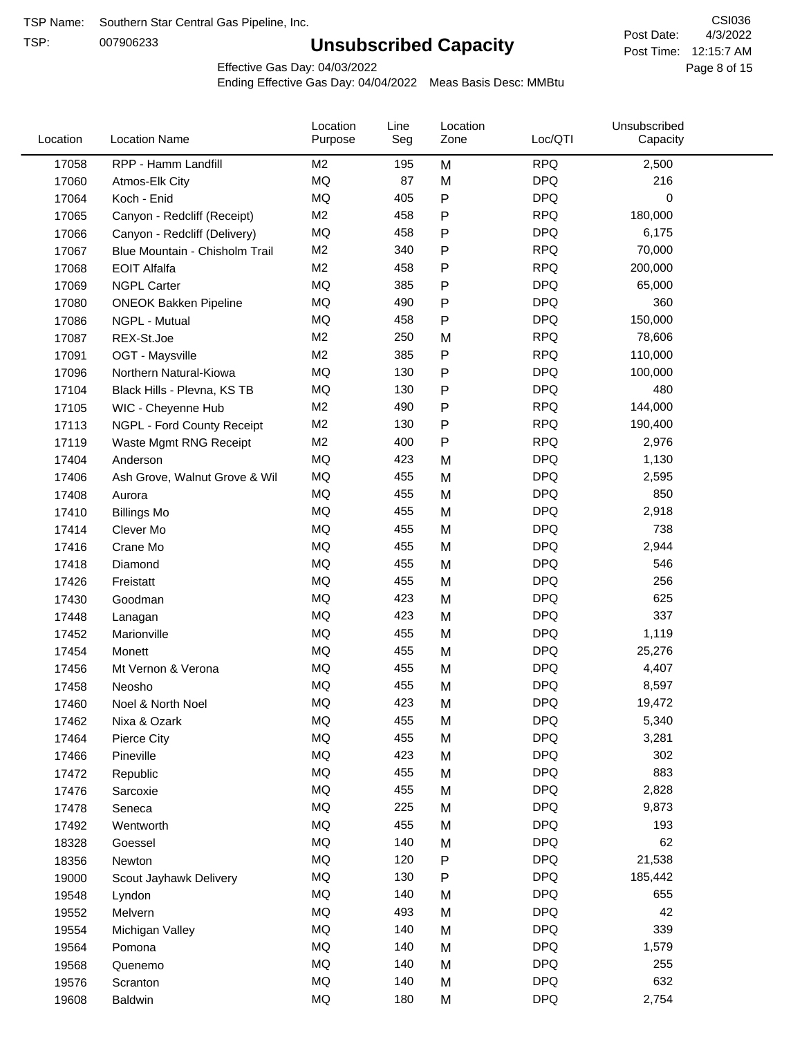TSP:

## **Unsubscribed Capacity**

4/3/2022 Page 8 of 15 Post Time: 12:15:7 AM CSI036 Post Date:

Effective Gas Day: 04/03/2022

| Location | <b>Location Name</b>           | Location<br>Purpose | Line<br>Seg | Location<br>Zone | Loc/QTI    | Unsubscribed<br>Capacity |  |
|----------|--------------------------------|---------------------|-------------|------------------|------------|--------------------------|--|
| 17058    | RPP - Hamm Landfill            | M <sub>2</sub>      | 195         | M                | <b>RPQ</b> | 2,500                    |  |
| 17060    | Atmos-Elk City                 | MQ                  | 87          | M                | <b>DPQ</b> | 216                      |  |
| 17064    | Koch - Enid                    | MQ                  | 405         | ${\sf P}$        | <b>DPQ</b> | 0                        |  |
| 17065    | Canyon - Redcliff (Receipt)    | M <sub>2</sub>      | 458         | P                | <b>RPQ</b> | 180,000                  |  |
| 17066    | Canyon - Redcliff (Delivery)   | MQ                  | 458         | P                | <b>DPQ</b> | 6,175                    |  |
| 17067    | Blue Mountain - Chisholm Trail | M <sub>2</sub>      | 340         | P                | <b>RPQ</b> | 70,000                   |  |
| 17068    | <b>EOIT Alfalfa</b>            | M <sub>2</sub>      | 458         | P                | <b>RPQ</b> | 200,000                  |  |
| 17069    | <b>NGPL Carter</b>             | <b>MQ</b>           | 385         | P                | <b>DPQ</b> | 65,000                   |  |
| 17080    | <b>ONEOK Bakken Pipeline</b>   | MQ                  | 490         | P                | <b>DPQ</b> | 360                      |  |
| 17086    | NGPL - Mutual                  | MQ                  | 458         | ${\sf P}$        | <b>DPQ</b> | 150,000                  |  |
| 17087    | REX-St.Joe                     | M <sub>2</sub>      | 250         | M                | <b>RPQ</b> | 78,606                   |  |
| 17091    | OGT - Maysville                | M <sub>2</sub>      | 385         | ${\sf P}$        | <b>RPQ</b> | 110,000                  |  |
| 17096    | Northern Natural-Kiowa         | <b>MQ</b>           | 130         | ${\sf P}$        | <b>DPQ</b> | 100,000                  |  |
| 17104    | Black Hills - Plevna, KS TB    | <b>MQ</b>           | 130         | P                | <b>DPQ</b> | 480                      |  |
| 17105    | WIC - Cheyenne Hub             | M <sub>2</sub>      | 490         | ${\sf P}$        | <b>RPQ</b> | 144,000                  |  |
| 17113    | NGPL - Ford County Receipt     | M <sub>2</sub>      | 130         | P                | <b>RPQ</b> | 190,400                  |  |
| 17119    | Waste Mgmt RNG Receipt         | M <sub>2</sub>      | 400         | P                | <b>RPQ</b> | 2,976                    |  |
| 17404    | Anderson                       | MQ                  | 423         | M                | <b>DPQ</b> | 1,130                    |  |
| 17406    | Ash Grove, Walnut Grove & Wil  | MQ                  | 455         | M                | <b>DPQ</b> | 2,595                    |  |
| 17408    | Aurora                         | MQ                  | 455         | M                | <b>DPQ</b> | 850                      |  |
| 17410    | <b>Billings Mo</b>             | MQ                  | 455         | M                | <b>DPQ</b> | 2,918                    |  |
| 17414    | Clever Mo                      | <b>MQ</b>           | 455         | M                | <b>DPQ</b> | 738                      |  |
| 17416    | Crane Mo                       | MQ                  | 455         | M                | <b>DPQ</b> | 2,944                    |  |
| 17418    | Diamond                        | <b>MQ</b>           | 455         | M                | <b>DPQ</b> | 546                      |  |
| 17426    | Freistatt                      | <b>MQ</b>           | 455         | M                | <b>DPQ</b> | 256                      |  |
| 17430    | Goodman                        | MQ                  | 423         | M                | <b>DPQ</b> | 625                      |  |
| 17448    | Lanagan                        | MQ                  | 423         | M                | <b>DPQ</b> | 337                      |  |
| 17452    | Marionville                    | MQ                  | 455         | M                | <b>DPQ</b> | 1,119                    |  |
| 17454    | Monett                         | MQ                  | 455         | M                | <b>DPQ</b> | 25,276                   |  |
| 17456    | Mt Vernon & Verona             | MQ                  | 455         | M                | <b>DPQ</b> | 4,407                    |  |
| 17458    | Neosho                         | <b>MQ</b>           | 455         | M                | <b>DPQ</b> | 8,597                    |  |
| 17460    | Noel & North Noel              | MQ                  | 423         | M                | <b>DPQ</b> | 19,472                   |  |
| 17462    | Nixa & Ozark                   | MQ                  | 455         | M                | <b>DPQ</b> | 5,340                    |  |
| 17464    | Pierce City                    | MQ                  | 455         | M                | <b>DPQ</b> | 3,281                    |  |
| 17466    | Pineville                      | MQ                  | 423         | M                | <b>DPQ</b> | 302                      |  |
| 17472    | Republic                       | MQ                  | 455         | M                | <b>DPQ</b> | 883                      |  |
| 17476    | Sarcoxie                       | MQ                  | 455         | M                | <b>DPQ</b> | 2,828                    |  |
| 17478    | Seneca                         | MQ                  | 225         | M                | <b>DPQ</b> | 9,873                    |  |
| 17492    | Wentworth                      | MQ                  | 455         | M                | <b>DPQ</b> | 193                      |  |
| 18328    | Goessel                        | MQ                  | 140         | M                | <b>DPQ</b> | 62                       |  |
| 18356    | Newton                         | MQ                  | 120         | ${\sf P}$        | <b>DPQ</b> | 21,538                   |  |
| 19000    | Scout Jayhawk Delivery         | MQ                  | 130         | P                | <b>DPQ</b> | 185,442                  |  |
| 19548    | Lyndon                         | MQ                  | 140         | M                | <b>DPQ</b> | 655                      |  |
| 19552    | Melvern                        | MQ                  | 493         | M                | <b>DPQ</b> | 42                       |  |
| 19554    | Michigan Valley                | MQ                  | 140         | M                | <b>DPQ</b> | 339                      |  |
| 19564    | Pomona                         | MQ                  | 140         | M                | <b>DPQ</b> | 1,579                    |  |
| 19568    | Quenemo                        | MQ                  | 140         | M                | <b>DPQ</b> | 255                      |  |
| 19576    | Scranton                       | MQ                  | 140         | M                | <b>DPQ</b> | 632                      |  |
| 19608    | Baldwin                        | $\sf{MQ}$           | 180         | M                | <b>DPQ</b> | 2,754                    |  |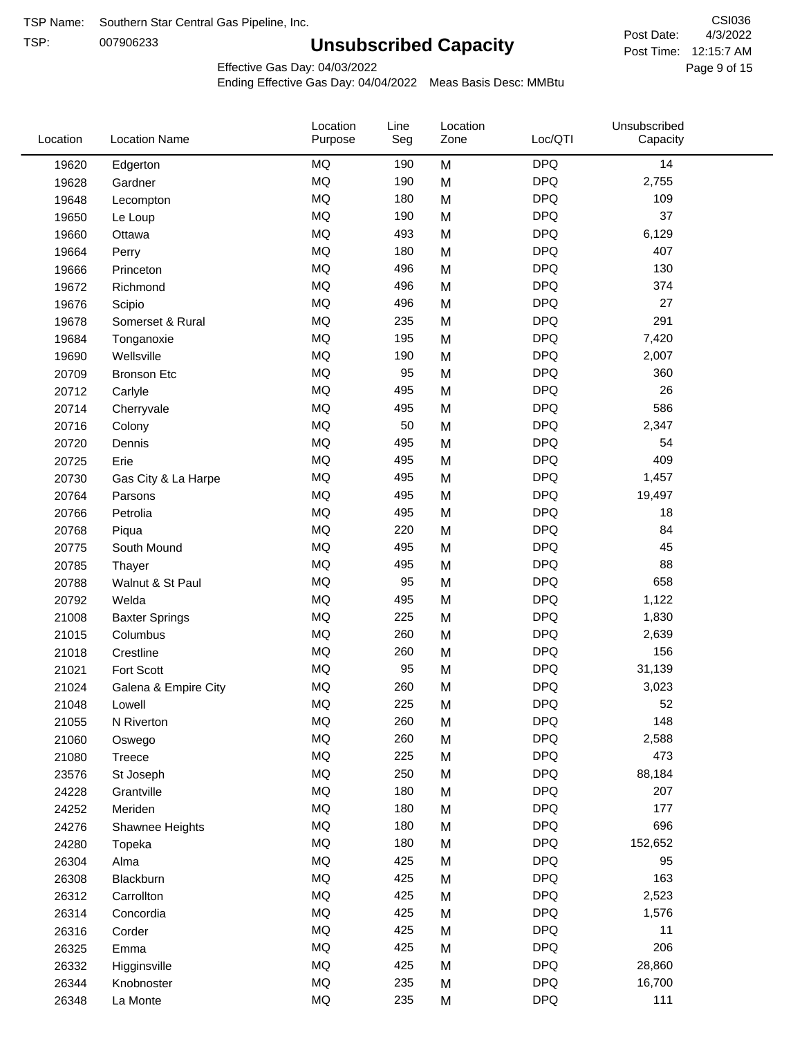TSP:

## **Unsubscribed Capacity**

4/3/2022 Page 9 of 15 Post Time: 12:15:7 AM CSI036 Post Date:

Effective Gas Day: 04/03/2022

| Location | <b>Location Name</b>  | Location<br>Purpose | Line<br>Seg | Location<br>Zone | Loc/QTI    | Unsubscribed<br>Capacity |  |
|----------|-----------------------|---------------------|-------------|------------------|------------|--------------------------|--|
| 19620    | Edgerton              | MQ                  | 190         | M                | <b>DPQ</b> | 14                       |  |
| 19628    | Gardner               | MQ                  | 190         | M                | <b>DPQ</b> | 2,755                    |  |
| 19648    | Lecompton             | MQ                  | 180         | M                | <b>DPQ</b> | 109                      |  |
| 19650    | Le Loup               | MQ                  | 190         | M                | <b>DPQ</b> | 37                       |  |
| 19660    | Ottawa                | <b>MQ</b>           | 493         | M                | <b>DPQ</b> | 6,129                    |  |
| 19664    | Perry                 | MQ                  | 180         | M                | <b>DPQ</b> | 407                      |  |
| 19666    | Princeton             | MQ                  | 496         | M                | <b>DPQ</b> | 130                      |  |
| 19672    | Richmond              | MQ                  | 496         | M                | <b>DPQ</b> | 374                      |  |
| 19676    | Scipio                | MQ                  | 496         | M                | <b>DPQ</b> | 27                       |  |
| 19678    | Somerset & Rural      | MQ                  | 235         | M                | <b>DPQ</b> | 291                      |  |
| 19684    | Tonganoxie            | MQ                  | 195         | M                | <b>DPQ</b> | 7,420                    |  |
| 19690    | Wellsville            | MQ                  | 190         | M                | <b>DPQ</b> | 2,007                    |  |
| 20709    | <b>Bronson Etc</b>    | MQ                  | 95          | M                | <b>DPQ</b> | 360                      |  |
| 20712    | Carlyle               | MQ                  | 495         | M                | <b>DPQ</b> | 26                       |  |
| 20714    | Cherryvale            | <b>MQ</b>           | 495         | M                | <b>DPQ</b> | 586                      |  |
| 20716    | Colony                | MQ                  | 50          | M                | <b>DPQ</b> | 2,347                    |  |
| 20720    | Dennis                | <b>MQ</b>           | 495         | M                | <b>DPQ</b> | 54                       |  |
| 20725    | Erie                  | MQ                  | 495         | M                | <b>DPQ</b> | 409                      |  |
| 20730    | Gas City & La Harpe   | MQ                  | 495         | M                | <b>DPQ</b> | 1,457                    |  |
| 20764    | Parsons               | <b>MQ</b>           | 495         | M                | <b>DPQ</b> | 19,497                   |  |
| 20766    | Petrolia              | MQ                  | 495         | M                | <b>DPQ</b> | 18                       |  |
| 20768    | Piqua                 | MQ                  | 220         | M                | <b>DPQ</b> | 84                       |  |
| 20775    | South Mound           | MQ                  | 495         | M                | <b>DPQ</b> | 45                       |  |
| 20785    | Thayer                | <b>MQ</b>           | 495         | M                | <b>DPQ</b> | 88                       |  |
| 20788    | Walnut & St Paul      | MQ                  | 95          | M                | <b>DPQ</b> | 658                      |  |
| 20792    | Welda                 | <b>MQ</b>           | 495         | M                | <b>DPQ</b> | 1,122                    |  |
| 21008    | <b>Baxter Springs</b> | <b>MQ</b>           | 225         | M                | <b>DPQ</b> | 1,830                    |  |
| 21015    | Columbus              | MQ                  | 260         | M                | <b>DPQ</b> | 2,639                    |  |
| 21018    | Crestline             | MQ                  | 260         | M                | <b>DPQ</b> | 156                      |  |
| 21021    | Fort Scott            | MQ                  | 95          | M                | <b>DPQ</b> | 31,139                   |  |
| 21024    | Galena & Empire City  | MQ                  | 260         | M                | <b>DPQ</b> | 3,023                    |  |
| 21048    | Lowell                | $\sf{MQ}$           | 225         | M                | <b>DPQ</b> | 52                       |  |
| 21055    | N Riverton            | MQ                  | 260         | M                | <b>DPQ</b> | 148                      |  |
| 21060    | Oswego                | MQ                  | 260         | M                | <b>DPQ</b> | 2,588                    |  |
| 21080    | Treece                | MQ                  | 225         | M                | <b>DPQ</b> | 473                      |  |
| 23576    | St Joseph             | MQ                  | 250         | M                | <b>DPQ</b> | 88,184                   |  |
| 24228    | Grantville            | MQ                  | 180         | M                | <b>DPQ</b> | 207                      |  |
| 24252    | Meriden               | MQ                  | 180         | M                | <b>DPQ</b> | 177                      |  |
| 24276    | Shawnee Heights       | MQ                  | 180         | M                | <b>DPQ</b> | 696                      |  |
| 24280    | Topeka                | MQ                  | 180         | M                | <b>DPQ</b> | 152,652                  |  |
| 26304    | Alma                  | MQ                  | 425         | M                | <b>DPQ</b> | 95                       |  |
| 26308    | Blackburn             | MQ                  | 425         | M                | <b>DPQ</b> | 163                      |  |
| 26312    | Carrollton            | MQ                  | 425         | M                | <b>DPQ</b> | 2,523                    |  |
| 26314    | Concordia             | $\sf{MQ}$           | 425         | M                | <b>DPQ</b> | 1,576                    |  |
| 26316    | Corder                | $\sf{MQ}$           | 425         | M                | <b>DPQ</b> | 11                       |  |
| 26325    | Emma                  | MQ                  | 425         | M                | <b>DPQ</b> | 206                      |  |
| 26332    | Higginsville          | MQ                  | 425         | M                | <b>DPQ</b> | 28,860                   |  |
| 26344    | Knobnoster            | MQ                  | 235         | M                | <b>DPQ</b> | 16,700                   |  |
| 26348    | La Monte              | MQ                  | 235         | M                | <b>DPQ</b> | 111                      |  |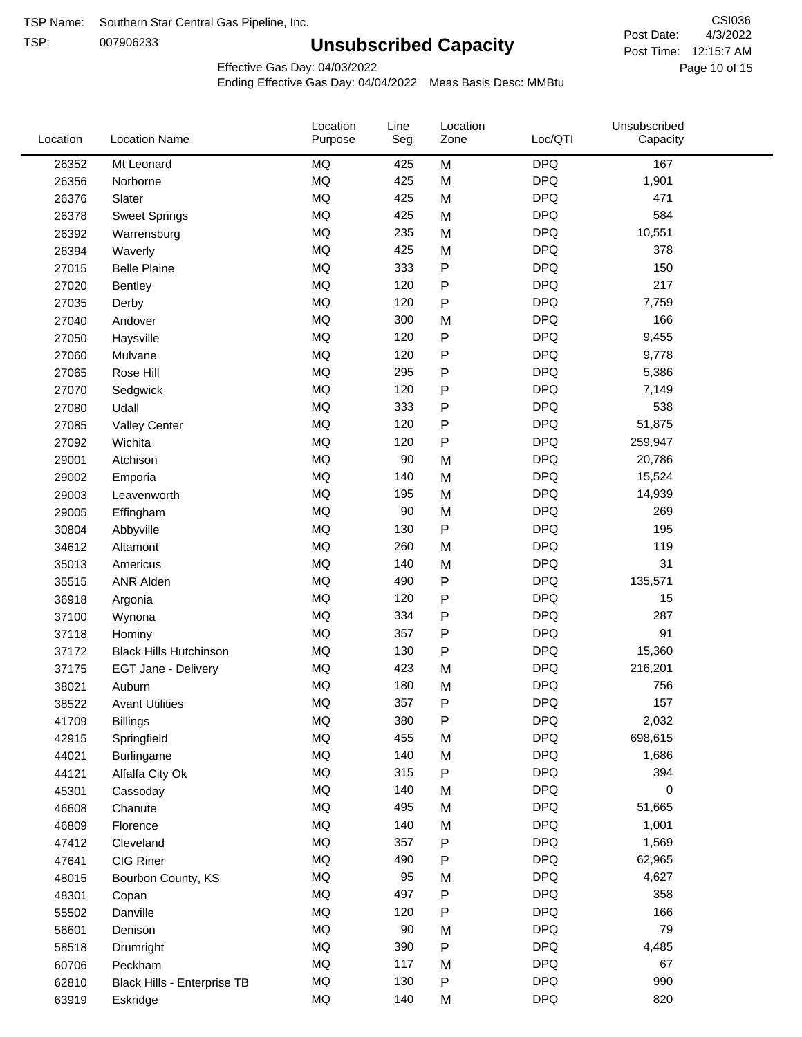TSP:

## **Unsubscribed Capacity**

4/3/2022 Page 10 of 15 Post Time: 12:15:7 AM CSI036 Post Date:

Unsubscribed

Effective Gas Day: 04/03/2022

Location

Ending Effective Gas Day: 04/04/2022 Meas Basis Desc: MMBtu

Line

Location

| Location | <b>Location Name</b>          | Purpose   | Seg | Zone         | Loc/QTI    | Capacity |  |
|----------|-------------------------------|-----------|-----|--------------|------------|----------|--|
| 26352    | Mt Leonard                    | <b>MQ</b> | 425 | M            | <b>DPQ</b> | 167      |  |
| 26356    | Norborne                      | MQ        | 425 | M            | <b>DPQ</b> | 1,901    |  |
| 26376    | Slater                        | MQ        | 425 | M            | <b>DPQ</b> | 471      |  |
| 26378    | <b>Sweet Springs</b>          | MQ        | 425 | M            | <b>DPQ</b> | 584      |  |
| 26392    | Warrensburg                   | <b>MQ</b> | 235 | M            | <b>DPQ</b> | 10,551   |  |
| 26394    | Waverly                       | <b>MQ</b> | 425 | M            | <b>DPQ</b> | 378      |  |
| 27015    | <b>Belle Plaine</b>           | MQ        | 333 | P            | <b>DPQ</b> | 150      |  |
| 27020    | <b>Bentley</b>                | MQ        | 120 | ${\sf P}$    | <b>DPQ</b> | 217      |  |
| 27035    | Derby                         | MQ        | 120 | ${\sf P}$    | <b>DPQ</b> | 7,759    |  |
| 27040    | Andover                       | MQ        | 300 | M            | <b>DPQ</b> | 166      |  |
| 27050    | Haysville                     | <b>MQ</b> | 120 | $\sf P$      | <b>DPQ</b> | 9,455    |  |
| 27060    | Mulvane                       | MQ        | 120 | ${\sf P}$    | <b>DPQ</b> | 9,778    |  |
| 27065    | Rose Hill                     | MQ        | 295 | ${\sf P}$    | <b>DPQ</b> | 5,386    |  |
| 27070    | Sedgwick                      | <b>MQ</b> | 120 | P            | <b>DPQ</b> | 7,149    |  |
| 27080    | Udall                         | MQ        | 333 | ${\sf P}$    | <b>DPQ</b> | 538      |  |
| 27085    | <b>Valley Center</b>          | MQ        | 120 | ${\sf P}$    | <b>DPQ</b> | 51,875   |  |
| 27092    | Wichita                       | MQ        | 120 | $\mathsf{P}$ | <b>DPQ</b> | 259,947  |  |
| 29001    | Atchison                      | MQ        | 90  | M            | <b>DPQ</b> | 20,786   |  |
| 29002    | Emporia                       | <b>MQ</b> | 140 | M            | <b>DPQ</b> | 15,524   |  |
| 29003    | Leavenworth                   | <b>MQ</b> | 195 | M            | <b>DPQ</b> | 14,939   |  |
| 29005    | Effingham                     | MQ        | 90  | M            | <b>DPQ</b> | 269      |  |
| 30804    | Abbyville                     | MQ        | 130 | $\sf P$      | <b>DPQ</b> | 195      |  |
| 34612    | Altamont                      | MQ        | 260 | M            | <b>DPQ</b> | 119      |  |
| 35013    | Americus                      | MQ        | 140 | M            | <b>DPQ</b> | 31       |  |
| 35515    | <b>ANR Alden</b>              | <b>MQ</b> | 490 | ${\sf P}$    | <b>DPQ</b> | 135,571  |  |
| 36918    | Argonia                       | MQ        | 120 | ${\sf P}$    | <b>DPQ</b> | 15       |  |
| 37100    | Wynona                        | <b>MQ</b> | 334 | ${\sf P}$    | <b>DPQ</b> | 287      |  |
| 37118    | Hominy                        | <b>MQ</b> | 357 | P            | <b>DPQ</b> | 91       |  |
| 37172    | <b>Black Hills Hutchinson</b> | <b>MQ</b> | 130 | ${\sf P}$    | <b>DPQ</b> | 15,360   |  |
| 37175    | EGT Jane - Delivery           | MQ        | 423 | M            | <b>DPQ</b> | 216,201  |  |
| 38021    | Auburn                        | MQ        | 180 | M            | <b>DPQ</b> | 756      |  |
| 38522    | <b>Avant Utilities</b>        | <b>MQ</b> | 357 | ${\sf P}$    | <b>DPQ</b> | 157      |  |
| 41709    | <b>Billings</b>               | $\sf{MQ}$ | 380 | Ρ            | <b>DPQ</b> | 2,032    |  |
| 42915    | Springfield                   | MQ        | 455 | M            | <b>DPQ</b> | 698,615  |  |
| 44021    | Burlingame                    | $\sf{MQ}$ | 140 | M            | <b>DPQ</b> | 1,686    |  |
| 44121    | Alfalfa City Ok               | MQ        | 315 | ${\sf P}$    | <b>DPQ</b> | 394      |  |
| 45301    | Cassoday                      | MQ        | 140 | M            | <b>DPQ</b> | 0        |  |
| 46608    | Chanute                       | MQ        | 495 | M            | <b>DPQ</b> | 51,665   |  |
| 46809    | Florence                      | MQ        | 140 | M            | <b>DPQ</b> | 1,001    |  |
| 47412    | Cleveland                     | $\sf{MQ}$ | 357 | ${\sf P}$    | <b>DPQ</b> | 1,569    |  |
| 47641    | CIG Riner                     | MQ        | 490 | P            | <b>DPQ</b> | 62,965   |  |
| 48015    | Bourbon County, KS            | MQ        | 95  | M            | <b>DPQ</b> | 4,627    |  |
| 48301    | Copan                         | MQ        | 497 | ${\sf P}$    | <b>DPQ</b> | 358      |  |
| 55502    | Danville                      | MQ        | 120 | P            | <b>DPQ</b> | 166      |  |
| 56601    | Denison                       | MQ        | 90  | M            | <b>DPQ</b> | 79       |  |
| 58518    | Drumright                     | MQ        | 390 | ${\sf P}$    | <b>DPQ</b> | 4,485    |  |
| 60706    | Peckham                       | MQ        | 117 | M            | <b>DPQ</b> | 67       |  |
| 62810    | Black Hills - Enterprise TB   | MQ        | 130 | ${\sf P}$    | <b>DPQ</b> | 990      |  |
| 63919    | Eskridge                      | MQ        | 140 | M            | <b>DPQ</b> | 820      |  |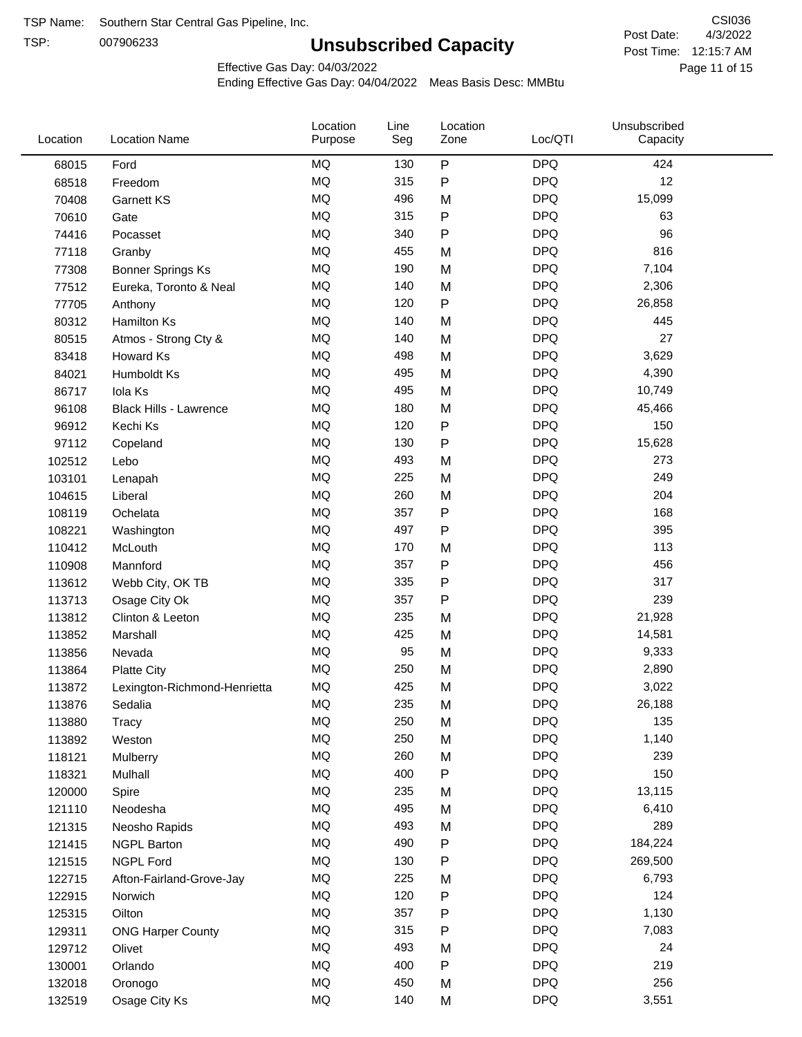TSP:

## **Unsubscribed Capacity**

4/3/2022 Page 11 of 15 Post Time: 12:15:7 AM CSI036 Post Date:

Effective Gas Day: 04/03/2022

| Location | <b>Location Name</b>          | Location<br>Purpose | Line<br>Seg | Location<br>Zone | Loc/QTI    | Unsubscribed<br>Capacity |  |
|----------|-------------------------------|---------------------|-------------|------------------|------------|--------------------------|--|
| 68015    | Ford                          | <b>MQ</b>           | 130         | ${\sf P}$        | <b>DPQ</b> | 424                      |  |
| 68518    | Freedom                       | MQ                  | 315         | P                | <b>DPQ</b> | 12                       |  |
| 70408    | <b>Garnett KS</b>             | <b>MQ</b>           | 496         | M                | <b>DPQ</b> | 15,099                   |  |
| 70610    | Gate                          | <b>MQ</b>           | 315         | P                | <b>DPQ</b> | 63                       |  |
| 74416    | Pocasset                      | <b>MQ</b>           | 340         | P                | <b>DPQ</b> | 96                       |  |
| 77118    | Granby                        | MQ                  | 455         | M                | <b>DPQ</b> | 816                      |  |
| 77308    | <b>Bonner Springs Ks</b>      | <b>MQ</b>           | 190         | M                | <b>DPQ</b> | 7,104                    |  |
| 77512    | Eureka, Toronto & Neal        | MQ                  | 140         | M                | <b>DPQ</b> | 2,306                    |  |
| 77705    | Anthony                       | <b>MQ</b>           | 120         | P                | <b>DPQ</b> | 26,858                   |  |
| 80312    | <b>Hamilton Ks</b>            | MQ                  | 140         | M                | <b>DPQ</b> | 445                      |  |
| 80515    | Atmos - Strong Cty &          | MQ                  | 140         | M                | <b>DPQ</b> | 27                       |  |
| 83418    | Howard Ks                     | <b>MQ</b>           | 498         | M                | <b>DPQ</b> | 3,629                    |  |
| 84021    | Humboldt Ks                   | <b>MQ</b>           | 495         | M                | <b>DPQ</b> | 4,390                    |  |
| 86717    | Iola Ks                       | <b>MQ</b>           | 495         | M                | <b>DPQ</b> | 10,749                   |  |
| 96108    | <b>Black Hills - Lawrence</b> | MQ                  | 180         | M                | <b>DPQ</b> | 45,466                   |  |
| 96912    | Kechi Ks                      | <b>MQ</b>           | 120         | P                | <b>DPQ</b> | 150                      |  |
| 97112    | Copeland                      | MQ                  | 130         | P                | <b>DPQ</b> | 15,628                   |  |
| 102512   | Lebo                          | <b>MQ</b>           | 493         | M                | <b>DPQ</b> | 273                      |  |
| 103101   | Lenapah                       | <b>MQ</b>           | 225         | M                | <b>DPQ</b> | 249                      |  |
| 104615   | Liberal                       | <b>MQ</b>           | 260         | M                | <b>DPQ</b> | 204                      |  |
| 108119   | Ochelata                      | <b>MQ</b>           | 357         | P                | <b>DPQ</b> | 168                      |  |
| 108221   | Washington                    | <b>MQ</b>           | 497         | P                | <b>DPQ</b> | 395                      |  |
| 110412   | McLouth                       | <b>MQ</b>           | 170         | M                | <b>DPQ</b> | 113                      |  |
| 110908   | Mannford                      | <b>MQ</b>           | 357         | P                | <b>DPQ</b> | 456                      |  |
| 113612   | Webb City, OK TB              | MQ                  | 335         | P                | <b>DPQ</b> | 317                      |  |
| 113713   | Osage City Ok                 | <b>MQ</b>           | 357         | P                | <b>DPQ</b> | 239                      |  |
| 113812   | Clinton & Leeton              | MQ                  | 235         | M                | <b>DPQ</b> | 21,928                   |  |
| 113852   | Marshall                      | <b>MQ</b>           | 425         | M                | <b>DPQ</b> | 14,581                   |  |
| 113856   | Nevada                        | <b>MQ</b>           | 95          | M                | <b>DPQ</b> | 9,333                    |  |
| 113864   | <b>Platte City</b>            | <b>MQ</b>           | 250         | M                | <b>DPQ</b> | 2,890                    |  |
| 113872   | Lexington-Richmond-Henrietta  | <b>MQ</b>           | 425         | M                | <b>DPQ</b> | 3,022                    |  |
| 113876   | Sedalia                       | <b>MQ</b>           | 235         | M                | <b>DPQ</b> | 26,188                   |  |
| 113880   | Tracy                         | MQ                  | 250         | M                | <b>DPQ</b> | 135                      |  |
| 113892   | Weston                        | MQ                  | 250         | M                | <b>DPQ</b> | 1,140                    |  |
| 118121   | Mulberry                      | <b>MQ</b>           | 260         | M                | <b>DPQ</b> | 239                      |  |
| 118321   | Mulhall                       | MQ                  | 400         | Ρ                | <b>DPQ</b> | 150                      |  |
| 120000   | Spire                         | MQ                  | 235         | M                | <b>DPQ</b> | 13,115                   |  |
| 121110   | Neodesha                      | MQ                  | 495         | M                | <b>DPQ</b> | 6,410                    |  |
| 121315   | Neosho Rapids                 | MQ                  | 493         | M                | <b>DPQ</b> | 289                      |  |
| 121415   | <b>NGPL Barton</b>            | $\sf{MQ}$           | 490         | Ρ                | <b>DPQ</b> | 184,224                  |  |
| 121515   | NGPL Ford                     | MQ                  | 130         | Ρ                | <b>DPQ</b> | 269,500                  |  |
| 122715   | Afton-Fairland-Grove-Jay      | MQ                  | 225         | M                | <b>DPQ</b> | 6,793                    |  |
| 122915   | Norwich                       | MQ                  | 120         | Ρ                | <b>DPQ</b> | 124                      |  |
| 125315   | Oilton                        | MQ                  | 357         | Ρ                | <b>DPQ</b> | 1,130                    |  |
| 129311   | <b>ONG Harper County</b>      | MQ                  | 315         | Ρ                | <b>DPQ</b> | 7,083                    |  |
| 129712   | Olivet                        | MQ                  | 493         | M                | <b>DPQ</b> | 24                       |  |
| 130001   | Orlando                       | MQ                  | 400         | P                | <b>DPQ</b> | 219                      |  |
| 132018   | Oronogo                       | MQ                  | 450         | M                | <b>DPQ</b> | 256                      |  |
| 132519   | Osage City Ks                 | $\sf{MQ}$           | 140         | M                | <b>DPQ</b> | 3,551                    |  |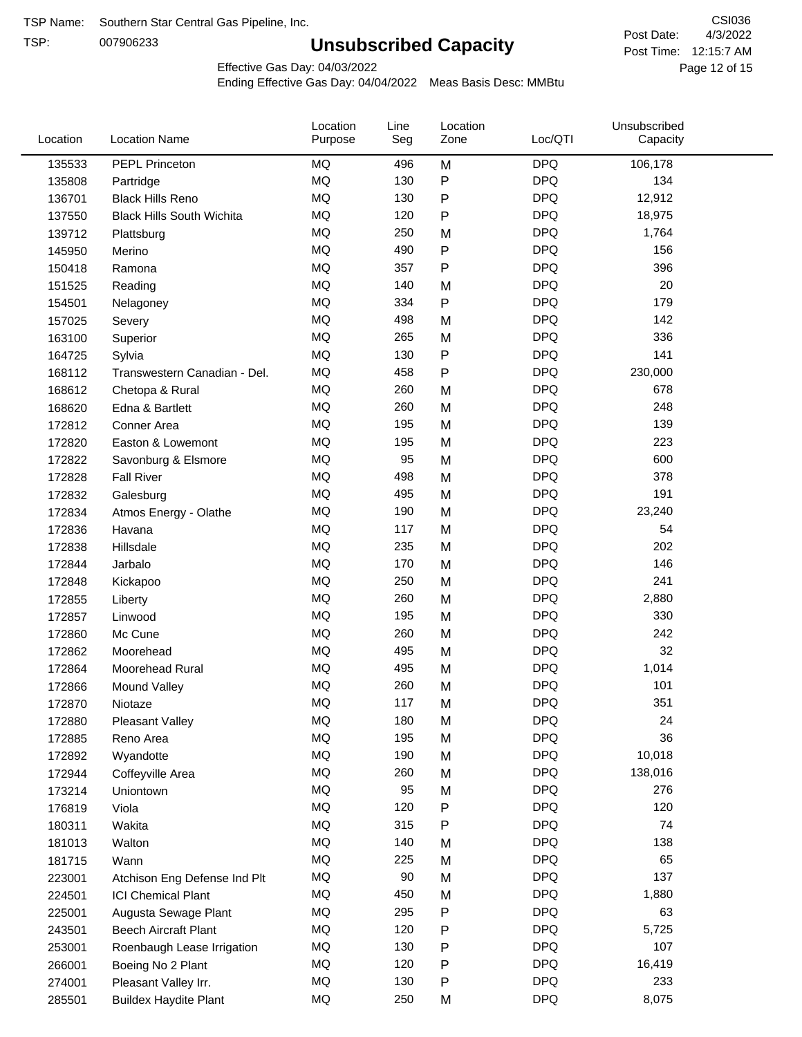TSP:

## **Unsubscribed Capacity**

4/3/2022 Page 12 of 15 Post Time: 12:15:7 AM CSI036 Post Date:

Effective Gas Day: 04/03/2022

| Location | <b>Location Name</b>             | Location<br>Purpose | Line<br>Seg | Location<br>Zone | Loc/QTI    | Unsubscribed<br>Capacity |  |
|----------|----------------------------------|---------------------|-------------|------------------|------------|--------------------------|--|
| 135533   | PEPL Princeton                   | MQ                  | 496         | M                | <b>DPQ</b> | 106,178                  |  |
| 135808   | Partridge                        | MQ                  | 130         | P                | <b>DPQ</b> | 134                      |  |
| 136701   | <b>Black Hills Reno</b>          | MQ                  | 130         | P                | <b>DPQ</b> | 12,912                   |  |
| 137550   | <b>Black Hills South Wichita</b> | <b>MQ</b>           | 120         | P                | <b>DPQ</b> | 18,975                   |  |
| 139712   | Plattsburg                       | <b>MQ</b>           | 250         | M                | <b>DPQ</b> | 1,764                    |  |
| 145950   | Merino                           | MQ                  | 490         | P                | <b>DPQ</b> | 156                      |  |
| 150418   | Ramona                           | MQ                  | 357         | P                | <b>DPQ</b> | 396                      |  |
| 151525   | Reading                          | MQ                  | 140         | M                | <b>DPQ</b> | 20                       |  |
| 154501   | Nelagoney                        | MQ                  | 334         | P                | <b>DPQ</b> | 179                      |  |
| 157025   | Severy                           | MQ                  | 498         | M                | <b>DPQ</b> | 142                      |  |
| 163100   | Superior                         | MQ                  | 265         | M                | <b>DPQ</b> | 336                      |  |
| 164725   | Sylvia                           | MQ                  | 130         | P                | <b>DPQ</b> | 141                      |  |
| 168112   | Transwestern Canadian - Del.     | MQ                  | 458         | P                | <b>DPQ</b> | 230,000                  |  |
| 168612   | Chetopa & Rural                  | MQ                  | 260         | M                | <b>DPQ</b> | 678                      |  |
| 168620   | Edna & Bartlett                  | MQ                  | 260         | M                | <b>DPQ</b> | 248                      |  |
| 172812   | Conner Area                      | MQ                  | 195         | M                | <b>DPQ</b> | 139                      |  |
| 172820   | Easton & Lowemont                | MQ                  | 195         | M                | <b>DPQ</b> | 223                      |  |
| 172822   | Savonburg & Elsmore              | MQ                  | 95          | M                | <b>DPQ</b> | 600                      |  |
| 172828   | <b>Fall River</b>                | MQ                  | 498         | M                | <b>DPQ</b> | 378                      |  |
| 172832   | Galesburg                        | MQ                  | 495         | M                | <b>DPQ</b> | 191                      |  |
| 172834   | Atmos Energy - Olathe            | MQ                  | 190         | M                | <b>DPQ</b> | 23,240                   |  |
| 172836   | Havana                           | MQ                  | 117         | M                | <b>DPQ</b> | 54                       |  |
| 172838   | Hillsdale                        | MQ                  | 235         | M                | <b>DPQ</b> | 202                      |  |
| 172844   | Jarbalo                          | <b>MQ</b>           | 170         | M                | <b>DPQ</b> | 146                      |  |
| 172848   | Kickapoo                         | <b>MQ</b>           | 250         | M                | <b>DPQ</b> | 241                      |  |
| 172855   | Liberty                          | MQ                  | 260         | M                | <b>DPQ</b> | 2,880                    |  |
| 172857   | Linwood                          | MQ                  | 195         | M                | <b>DPQ</b> | 330                      |  |
| 172860   | Mc Cune                          | MQ                  | 260         | M                | <b>DPQ</b> | 242                      |  |
| 172862   | Moorehead                        | MQ                  | 495         | M                | <b>DPQ</b> | 32                       |  |
| 172864   | Moorehead Rural                  | MQ                  | 495         | M                | <b>DPQ</b> | 1,014                    |  |
| 172866   | Mound Valley                     | <b>MQ</b>           | 260         | M                | <b>DPQ</b> | 101                      |  |
| 172870   | Niotaze                          | MQ                  | 117         | M                | <b>DPQ</b> | 351                      |  |
| 172880   | <b>Pleasant Valley</b>           | MQ                  | 180         | M                | <b>DPQ</b> | 24                       |  |
| 172885   | Reno Area                        | $\sf{MQ}$           | 195         | M                | <b>DPQ</b> | 36                       |  |
| 172892   | Wyandotte                        | MQ                  | 190         | M                | <b>DPQ</b> | 10,018                   |  |
| 172944   | Coffeyville Area                 | $\sf{MQ}$           | 260         | M                | <b>DPQ</b> | 138,016                  |  |
| 173214   | Uniontown                        | MQ                  | 95          | M                | <b>DPQ</b> | 276                      |  |
| 176819   | Viola                            | MQ                  | 120         | P                | <b>DPQ</b> | 120                      |  |
| 180311   | Wakita                           | MQ                  | 315         | P                | <b>DPQ</b> | 74                       |  |
| 181013   | Walton                           | MQ                  | 140         | M                | <b>DPQ</b> | 138                      |  |
| 181715   | Wann                             | MQ                  | 225         | M                | <b>DPQ</b> | 65                       |  |
| 223001   | Atchison Eng Defense Ind Plt     | MQ                  | 90          | M                | <b>DPQ</b> | 137                      |  |
| 224501   | <b>ICI Chemical Plant</b>        | $\sf{MQ}$           | 450         | M                | <b>DPQ</b> | 1,880                    |  |
| 225001   | Augusta Sewage Plant             | MQ                  | 295         | P                | <b>DPQ</b> | 63                       |  |
| 243501   | <b>Beech Aircraft Plant</b>      | MQ                  | 120         | P                | <b>DPQ</b> | 5,725                    |  |
| 253001   | Roenbaugh Lease Irrigation       | MQ                  | 130         | P                | <b>DPQ</b> | 107                      |  |
| 266001   | Boeing No 2 Plant                | MQ                  | 120         | P                | <b>DPQ</b> | 16,419                   |  |
| 274001   | Pleasant Valley Irr.             | MQ                  | 130         | P                | <b>DPQ</b> | 233                      |  |
| 285501   | <b>Buildex Haydite Plant</b>     | MQ                  | 250         | M                | <b>DPQ</b> | 8,075                    |  |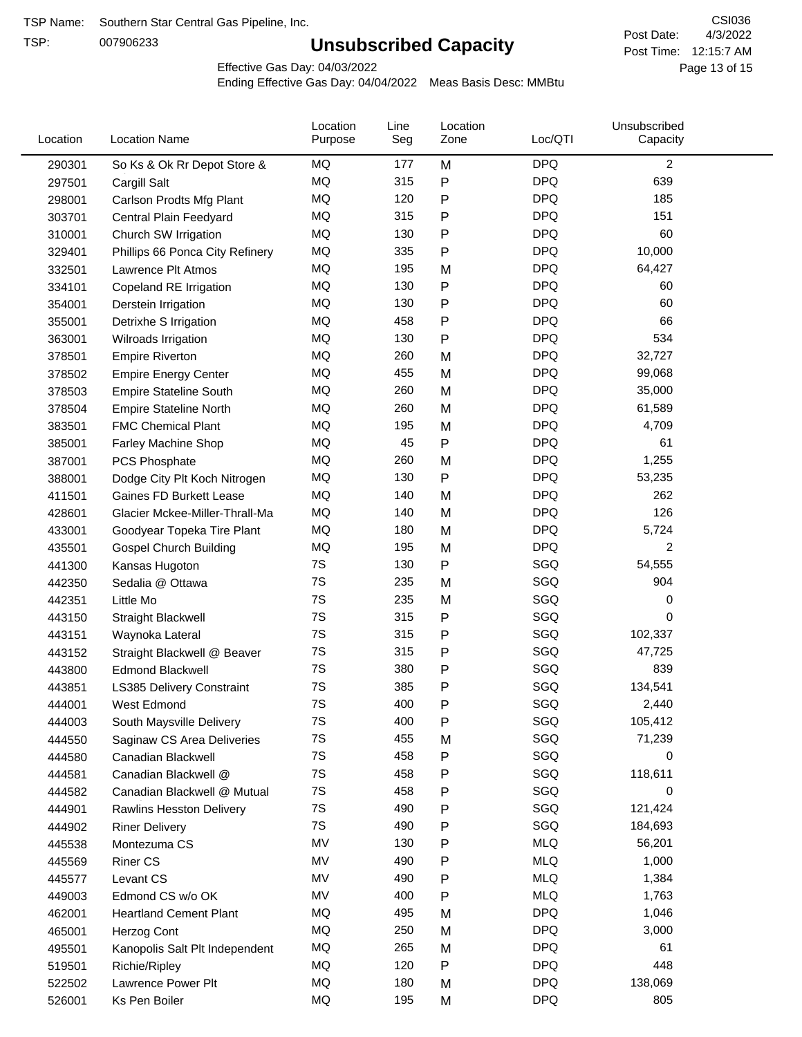TSP:

## **Unsubscribed Capacity**

4/3/2022 Page 13 of 15 Post Time: 12:15:7 AM CSI036 Post Date:

Effective Gas Day: 04/03/2022

| Location | <b>Location Name</b>            | Location<br>Purpose | Line<br>Seg | Location<br>Zone | Loc/QTI    | Unsubscribed<br>Capacity |  |
|----------|---------------------------------|---------------------|-------------|------------------|------------|--------------------------|--|
| 290301   | So Ks & Ok Rr Depot Store &     | MQ                  | 177         | M                | <b>DPQ</b> | $\overline{c}$           |  |
| 297501   | Cargill Salt                    | MQ                  | 315         | P                | <b>DPQ</b> | 639                      |  |
| 298001   | Carlson Prodts Mfg Plant        | MQ                  | 120         | Ρ                | <b>DPQ</b> | 185                      |  |
| 303701   | Central Plain Feedyard          | <b>MQ</b>           | 315         | Ρ                | <b>DPQ</b> | 151                      |  |
| 310001   | Church SW Irrigation            | MQ                  | 130         | Ρ                | <b>DPQ</b> | 60                       |  |
| 329401   | Phillips 66 Ponca City Refinery | MQ                  | 335         | Ρ                | <b>DPQ</b> | 10,000                   |  |
| 332501   | Lawrence Plt Atmos              | MQ                  | 195         | M                | <b>DPQ</b> | 64,427                   |  |
| 334101   | Copeland RE Irrigation          | MQ                  | 130         | P                | <b>DPQ</b> | 60                       |  |
| 354001   | Derstein Irrigation             | MQ                  | 130         | Ρ                | <b>DPQ</b> | 60                       |  |
| 355001   | Detrixhe S Irrigation           | MQ                  | 458         | Ρ                | <b>DPQ</b> | 66                       |  |
| 363001   | Wilroads Irrigation             | MQ                  | 130         | P                | <b>DPQ</b> | 534                      |  |
| 378501   | <b>Empire Riverton</b>          | MQ                  | 260         | M                | <b>DPQ</b> | 32,727                   |  |
| 378502   | <b>Empire Energy Center</b>     | MQ                  | 455         | M                | <b>DPQ</b> | 99,068                   |  |
| 378503   | <b>Empire Stateline South</b>   | MQ                  | 260         | M                | <b>DPQ</b> | 35,000                   |  |
| 378504   | <b>Empire Stateline North</b>   | MQ                  | 260         | M                | <b>DPQ</b> | 61,589                   |  |
| 383501   | <b>FMC Chemical Plant</b>       | MQ                  | 195         | M                | <b>DPQ</b> | 4,709                    |  |
| 385001   | Farley Machine Shop             | MQ                  | 45          | P                | <b>DPQ</b> | 61                       |  |
| 387001   | PCS Phosphate                   | MQ                  | 260         | M                | <b>DPQ</b> | 1,255                    |  |
| 388001   | Dodge City Plt Koch Nitrogen    | MQ                  | 130         | Ρ                | <b>DPQ</b> | 53,235                   |  |
| 411501   | Gaines FD Burkett Lease         | MQ                  | 140         | M                | <b>DPQ</b> | 262                      |  |
| 428601   | Glacier Mckee-Miller-Thrall-Ma  | MQ                  | 140         | M                | <b>DPQ</b> | 126                      |  |
| 433001   | Goodyear Topeka Tire Plant      | MQ                  | 180         | M                | <b>DPQ</b> | 5,724                    |  |
| 435501   | <b>Gospel Church Building</b>   | MQ                  | 195         | M                | <b>DPQ</b> | 2                        |  |
| 441300   | Kansas Hugoton                  | 7S                  | 130         | Ρ                | SGQ        | 54,555                   |  |
| 442350   | Sedalia @ Ottawa                | 7S                  | 235         | M                | SGQ        | 904                      |  |
| 442351   | Little Mo                       | 7S                  | 235         | M                | SGQ        | 0                        |  |
| 443150   | <b>Straight Blackwell</b>       | 7S                  | 315         | P                | SGQ        | 0                        |  |
| 443151   | Waynoka Lateral                 | 7S                  | 315         | Ρ                | SGQ        | 102,337                  |  |
| 443152   | Straight Blackwell @ Beaver     | 7S                  | 315         | P                | SGQ        | 47,725                   |  |
| 443800   | <b>Edmond Blackwell</b>         | 7S                  | 380         | Ρ                | SGQ        | 839                      |  |
| 443851   | LS385 Delivery Constraint       | 7S                  | 385         | Ρ                | SGQ        | 134,541                  |  |
| 444001   | West Edmond                     | 7S                  | 400         | Ρ                | SGQ        | 2,440                    |  |
| 444003   | South Maysville Delivery        | 7S                  | 400         | Ρ                | SGQ        | 105,412                  |  |
| 444550   | Saginaw CS Area Deliveries      | 7S                  | 455         | M                | SGQ        | 71,239                   |  |
| 444580   | Canadian Blackwell              | 7S                  | 458         | Ρ                | SGQ        | 0                        |  |
| 444581   | Canadian Blackwell @            | 7S                  | 458         | Ρ                | SGQ        | 118,611                  |  |
| 444582   | Canadian Blackwell @ Mutual     | 7S                  | 458         | Ρ                | SGQ        | 0                        |  |
| 444901   | Rawlins Hesston Delivery        | 7S                  | 490         | Ρ                | SGQ        | 121,424                  |  |
| 444902   | <b>Riner Delivery</b>           | 7S                  | 490         | Ρ                | SGQ        | 184,693                  |  |
| 445538   | Montezuma CS                    | MV                  | 130         | Ρ                | <b>MLQ</b> | 56,201                   |  |
| 445569   | <b>Riner CS</b>                 | MV                  | 490         | P                | <b>MLQ</b> | 1,000                    |  |
| 445577   | Levant CS                       | MV                  | 490         | Ρ                | <b>MLQ</b> | 1,384                    |  |
| 449003   | Edmond CS w/o OK                | MV                  | 400         | P                | <b>MLQ</b> | 1,763                    |  |
| 462001   | <b>Heartland Cement Plant</b>   | MQ                  | 495         | M                | <b>DPQ</b> | 1,046                    |  |
| 465001   | Herzog Cont                     | MQ                  | 250         | M                | <b>DPQ</b> | 3,000                    |  |
| 495501   | Kanopolis Salt Plt Independent  | MQ                  | 265         | M                | <b>DPQ</b> | 61                       |  |
| 519501   | Richie/Ripley                   | MQ                  | 120         | Ρ                | <b>DPQ</b> | 448                      |  |
| 522502   | Lawrence Power Plt              | MQ                  | 180         | M                | <b>DPQ</b> | 138,069                  |  |
| 526001   | Ks Pen Boiler                   | MQ                  | 195         | M                | <b>DPQ</b> | 805                      |  |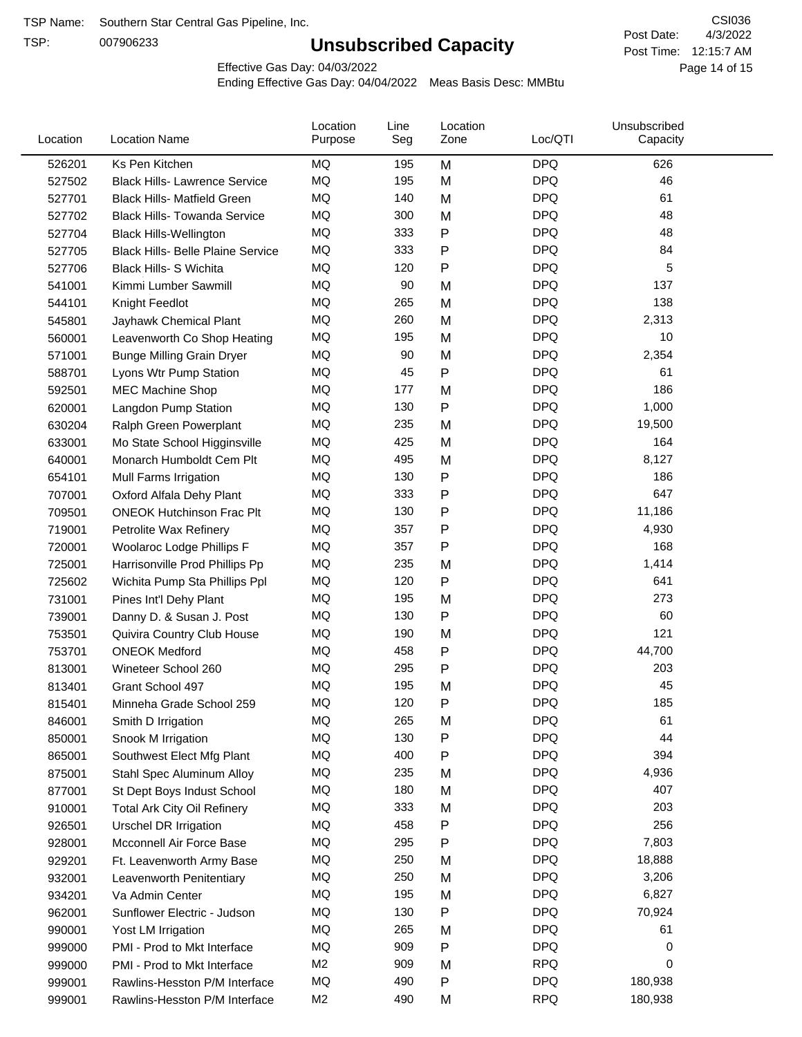TSP:

## **Unsubscribed Capacity**

4/3/2022 Page 14 of 15 Post Time: 12:15:7 AM CSI036 Post Date:

Effective Gas Day: 04/03/2022

| Location | <b>Location Name</b>                     | Location<br>Purpose | Line<br>Seg | Location<br>Zone | Loc/QTI    | Unsubscribed<br>Capacity |  |
|----------|------------------------------------------|---------------------|-------------|------------------|------------|--------------------------|--|
| 526201   | Ks Pen Kitchen                           | MQ                  | 195         | M                | <b>DPQ</b> | 626                      |  |
| 527502   | <b>Black Hills- Lawrence Service</b>     | MQ                  | 195         | M                | <b>DPQ</b> | 46                       |  |
| 527701   | <b>Black Hills- Matfield Green</b>       | <b>MQ</b>           | 140         | M                | <b>DPQ</b> | 61                       |  |
| 527702   | <b>Black Hills- Towanda Service</b>      | <b>MQ</b>           | 300         | M                | <b>DPQ</b> | 48                       |  |
| 527704   | <b>Black Hills-Wellington</b>            | <b>MQ</b>           | 333         | P                | <b>DPQ</b> | 48                       |  |
| 527705   | <b>Black Hills- Belle Plaine Service</b> | MQ                  | 333         | P                | <b>DPQ</b> | 84                       |  |
| 527706   | <b>Black Hills- S Wichita</b>            | MQ                  | 120         | Ρ                | <b>DPQ</b> | 5                        |  |
| 541001   | Kimmi Lumber Sawmill                     | MQ                  | 90          | M                | <b>DPQ</b> | 137                      |  |
| 544101   | Knight Feedlot                           | MQ                  | 265         | M                | <b>DPQ</b> | 138                      |  |
| 545801   | Jayhawk Chemical Plant                   | MQ                  | 260         | M                | <b>DPQ</b> | 2,313                    |  |
| 560001   | Leavenworth Co Shop Heating              | MQ                  | 195         | M                | <b>DPQ</b> | 10                       |  |
| 571001   | <b>Bunge Milling Grain Dryer</b>         | MQ                  | 90          | M                | <b>DPQ</b> | 2,354                    |  |
| 588701   | Lyons Wtr Pump Station                   | <b>MQ</b>           | 45          | P                | <b>DPQ</b> | 61                       |  |
| 592501   | <b>MEC Machine Shop</b>                  | MQ                  | 177         | M                | <b>DPQ</b> | 186                      |  |
| 620001   | Langdon Pump Station                     | MQ                  | 130         | P                | <b>DPQ</b> | 1,000                    |  |
| 630204   | Ralph Green Powerplant                   | MQ                  | 235         | M                | <b>DPQ</b> | 19,500                   |  |
| 633001   | Mo State School Higginsville             | MQ                  | 425         | M                | <b>DPQ</b> | 164                      |  |
| 640001   | Monarch Humboldt Cem Plt                 | MQ                  | 495         | M                | <b>DPQ</b> | 8,127                    |  |
| 654101   | Mull Farms Irrigation                    | MQ                  | 130         | P                | <b>DPQ</b> | 186                      |  |
| 707001   | Oxford Alfala Dehy Plant                 | MQ                  | 333         | P                | <b>DPQ</b> | 647                      |  |
| 709501   | <b>ONEOK Hutchinson Frac Plt</b>         | MQ                  | 130         | Ρ                | <b>DPQ</b> | 11,186                   |  |
| 719001   | Petrolite Wax Refinery                   | <b>MQ</b>           | 357         | Ρ                | <b>DPQ</b> | 4,930                    |  |
| 720001   | Woolaroc Lodge Phillips F                | MQ                  | 357         | Ρ                | <b>DPQ</b> | 168                      |  |
| 725001   | Harrisonville Prod Phillips Pp           | MQ                  | 235         | M                | <b>DPQ</b> | 1,414                    |  |
| 725602   | Wichita Pump Sta Phillips Ppl            | MQ                  | 120         | P                | <b>DPQ</b> | 641                      |  |
| 731001   | Pines Int'l Dehy Plant                   | MQ                  | 195         | M                | <b>DPQ</b> | 273                      |  |
| 739001   | Danny D. & Susan J. Post                 | MQ                  | 130         | P                | <b>DPQ</b> | 60                       |  |
| 753501   | Quivira Country Club House               | MQ                  | 190         | M                | <b>DPQ</b> | 121                      |  |
| 753701   | <b>ONEOK Medford</b>                     | MQ                  | 458         | P                | <b>DPQ</b> | 44,700                   |  |
| 813001   | Wineteer School 260                      | MQ                  | 295         | Ρ                | <b>DPQ</b> | 203                      |  |
| 813401   | Grant School 497                         | MQ                  | 195         | M                | <b>DPQ</b> | 45                       |  |
| 815401   | Minneha Grade School 259                 | MQ                  | 120         | Ρ                | DPQ        | 185                      |  |
| 846001   | Smith D Irrigation                       | MQ                  | 265         | M                | <b>DPQ</b> | 61                       |  |
| 850001   | Snook M Irrigation                       | MQ                  | 130         | P                | <b>DPQ</b> | 44                       |  |
| 865001   | Southwest Elect Mfg Plant                | MQ                  | 400         | P                | <b>DPQ</b> | 394                      |  |
| 875001   | Stahl Spec Aluminum Alloy                | MQ                  | 235         | M                | <b>DPQ</b> | 4,936                    |  |
| 877001   | St Dept Boys Indust School               | MQ                  | 180         | M                | <b>DPQ</b> | 407                      |  |
| 910001   | <b>Total Ark City Oil Refinery</b>       | MQ                  | 333         | M                | <b>DPQ</b> | 203                      |  |
| 926501   | <b>Urschel DR Irrigation</b>             | MQ                  | 458         | Ρ                | <b>DPQ</b> | 256                      |  |
| 928001   | Mcconnell Air Force Base                 | MQ                  | 295         | P                | <b>DPQ</b> | 7,803                    |  |
| 929201   | Ft. Leavenworth Army Base                | MQ                  | 250         | M                | <b>DPQ</b> | 18,888                   |  |
| 932001   | Leavenworth Penitentiary                 | MQ                  | 250         | M                | <b>DPQ</b> | 3,206                    |  |
| 934201   | Va Admin Center                          | MQ                  | 195         | M                | <b>DPQ</b> | 6,827                    |  |
| 962001   | Sunflower Electric - Judson              | MQ                  | 130         | P                | <b>DPQ</b> | 70,924                   |  |
| 990001   | Yost LM Irrigation                       | MQ                  | 265         | M                | <b>DPQ</b> | 61                       |  |
| 999000   | PMI - Prod to Mkt Interface              | MQ                  | 909         | Ρ                | <b>DPQ</b> | 0                        |  |
| 999000   | PMI - Prod to Mkt Interface              | M <sub>2</sub>      | 909         | M                | <b>RPQ</b> | 0                        |  |
| 999001   | Rawlins-Hesston P/M Interface            | MQ                  | 490         | P                | <b>DPQ</b> | 180,938                  |  |
| 999001   | Rawlins-Hesston P/M Interface            | M <sub>2</sub>      | 490         | M                | <b>RPQ</b> | 180,938                  |  |